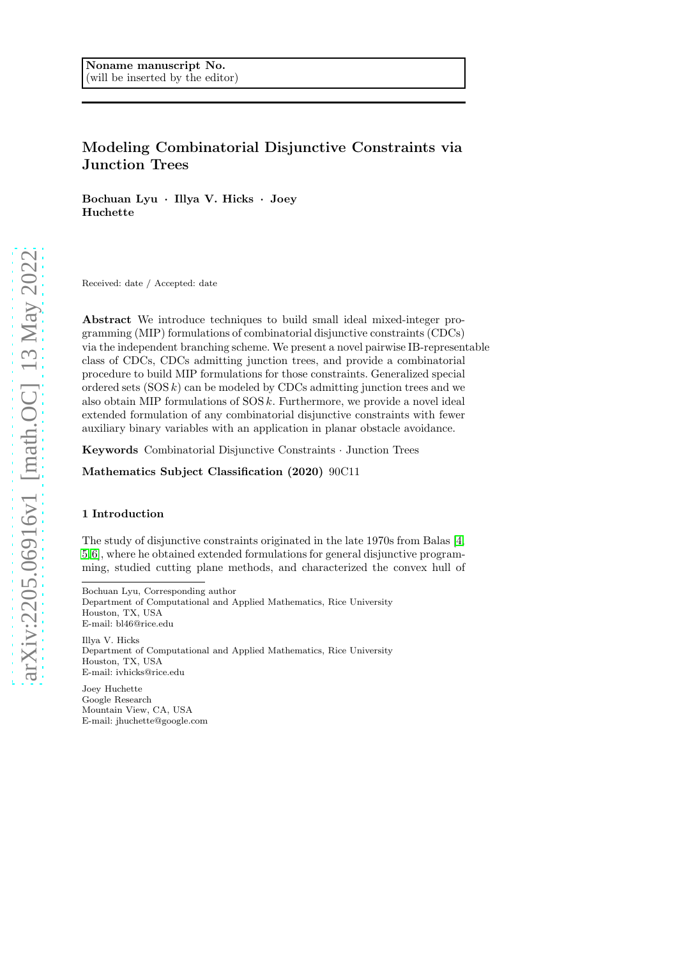# Modeling Combinatorial Disjunctive Constraints via Junction Trees

Bochuan Lyu · Illya V. Hicks · Joey Huchette

Received: date / Accepted: date

Abstract We introduce techniques to build small ideal mixed-integer programming (MIP) formulations of combinatorial disjunctive constraints (CDCs) via the independent branching scheme. We present a novel pairwise IB-representable class of CDCs, CDCs admitting junction trees, and provide a combinatorial procedure to build MIP formulations for those constraints. Generalized special ordered sets  $(SOS k)$  can be modeled by CDCs admitting junction trees and we also obtain MIP formulations of  $SOS k$ . Furthermore, we provide a novel ideal extended formulation of any combinatorial disjunctive constraints with fewer auxiliary binary variables with an application in planar obstacle avoidance.

Keywords Combinatorial Disjunctive Constraints · Junction Trees

Mathematics Subject Classification (2020) 90C11

## 1 Introduction

The study of disjunctive constraints originated in the late 1970s from Balas [\[4,](#page-24-0) [5,](#page-24-1)[6\]](#page-24-2), where he obtained extended formulations for general disjunctive programming, studied cutting plane methods, and characterized the convex hull of

Bochuan Lyu, Corresponding author Department of Computational and Applied Mathematics, Rice University Houston, TX, USA E-mail: bl46@rice.edu

Illya V. Hicks Department of Computational and Applied Mathematics, Rice University Houston, TX, USA E-mail: ivhicks@rice.edu

Joey Huchette Google Research Mountain View, CA, USA E-mail: jhuchette@google.com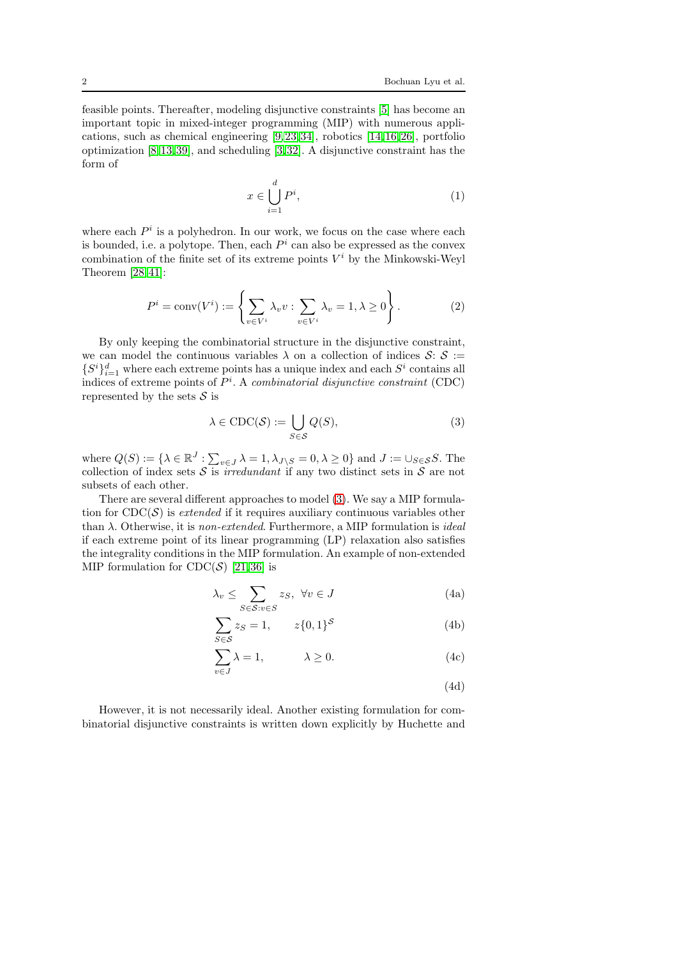feasible points. Thereafter, modeling disjunctive constraints [\[5\]](#page-24-1) has become an important topic in mixed-integer programming (MIP) with numerous applications, such as chemical engineering [\[9,](#page-24-3)[23,](#page-24-4)[34\]](#page-25-0), robotics [\[14,](#page-24-5)[16,](#page-24-6)[26\]](#page-24-7), portfolio optimization [\[8,](#page-24-8)[13,](#page-24-9)[39\]](#page-25-1), and scheduling [\[3,](#page-24-10)[32\]](#page-25-2). A disjunctive constraint has the form of

<span id="page-1-2"></span>
$$
x \in \bigcup_{i=1}^{d} P^i,\tag{1}
$$

where each  $P<sup>i</sup>$  is a polyhedron. In our work, we focus on the case where each is bounded, i.e. a polytope. Then, each  $P<sup>i</sup>$  can also be expressed as the convex combination of the finite set of its extreme points  $V^i$  by the Minkowski-Weyl Theorem [\[28,](#page-25-3)[41\]](#page-25-4):

$$
P^i = \text{conv}(V^i) := \left\{ \sum_{v \in V^i} \lambda_v v : \sum_{v \in V^i} \lambda_v = 1, \lambda \ge 0 \right\}.
$$
 (2)

By only keeping the combinatorial structure in the disjunctive constraint, we can model the continuous variables  $\lambda$  on a collection of indices  $\mathcal{S}: \mathcal{S}$  :=  $\{S^i\}_{i=1}^d$  where each extreme points has a unique index and each  $S^i$  contains all indices of extreme points of P i . A *combinatorial disjunctive constraint* (CDC) represented by the sets  $\mathcal S$  is

<span id="page-1-0"></span>
$$
\lambda \in \text{CDC}(\mathcal{S}) := \bigcup_{S \in \mathcal{S}} Q(S),\tag{3}
$$

where  $Q(S) := \{ \lambda \in \mathbb{R}^J : \sum_{v \in J} \lambda = 1, \lambda_{J \setminus S} = 0, \lambda \ge 0 \}$  and  $J := \cup_{S \in \mathcal{S}} S$ . The collection of index sets  $S$  is *irredundant* if any two distinct sets in  $S$  are not subsets of each other.

There are several different approaches to model [\(3\)](#page-1-0). We say a MIP formulation for  $\text{CDC}(\mathcal{S})$  is *extended* if it requires auxiliary continuous variables other than λ. Otherwise, it is *non-extended*. Furthermore, a MIP formulation is *ideal* if each extreme point of its linear programming (LP) relaxation also satisfies the integrality conditions in the MIP formulation. An example of non-extended MIP formulation for  $CDC(S)$  [\[21,](#page-24-11)[36\]](#page-25-5) is

<span id="page-1-1"></span>
$$
\lambda_v \le \sum_{S \in \mathcal{S}: v \in S} z_S, \ \forall v \in J \tag{4a}
$$

$$
\sum_{S \in \mathcal{S}} z_S = 1, \qquad z\{0,1\}^\mathcal{S} \tag{4b}
$$

$$
\sum_{v \in J} \lambda = 1, \qquad \lambda \ge 0. \tag{4c}
$$

(4d)

However, it is not necessarily ideal. Another existing formulation for combinatorial disjunctive constraints is written down explicitly by Huchette and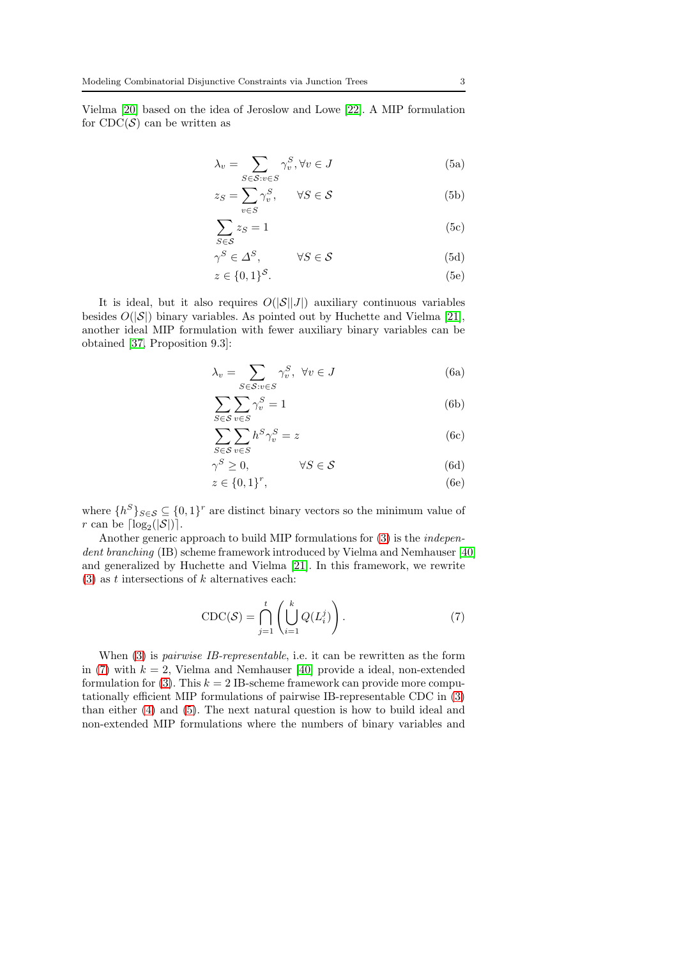<span id="page-2-1"></span>Vielma [\[20\]](#page-24-12) based on the idea of Jeroslow and Lowe [\[22\]](#page-24-13). A MIP formulation for  $CDC(S)$  can be written as

$$
\lambda_v = \sum_{S \in \mathcal{S}: v \in S} \gamma_v^S, \forall v \in J \tag{5a}
$$

$$
z_S = \sum_{v \in S} \gamma_v^S, \qquad \forall S \in \mathcal{S}
$$
 (5b)

$$
\sum z_S = 1
$$
 (5c)

$$
S \in \mathcal{S}
$$
  
\n
$$
\gamma^S \in \Delta^S, \qquad \forall S \in \mathcal{S}
$$
\n(5d)

$$
z \in \{0,1\}^{\mathcal{S}}.\tag{5e}
$$

It is ideal, but it also requires  $O(|\mathcal{S}||J|)$  auxiliary continuous variables besides  $O(|\mathcal{S}|)$  binary variables. As pointed out by Huchette and Vielma [\[21\]](#page-24-11), another ideal MIP formulation with fewer auxiliary binary variables can be obtained [\[37,](#page-25-6) Proposition 9.3]:

<span id="page-2-2"></span>
$$
\lambda_v = \sum_{S \in \mathcal{S}: v \in S} \gamma_v^S, \ \forall v \in J \tag{6a}
$$

$$
\sum_{S \in \mathcal{S}} \sum_{v \in S} \gamma_v^S = 1 \tag{6b}
$$

$$
\sum_{S \in \mathcal{S}} \sum_{v \in S} h^S \gamma_v^S = z \tag{6c}
$$

$$
\gamma^S \ge 0, \qquad \forall S \in \mathcal{S} \tag{6d}
$$

$$
z \in \{0,1\}^r,\tag{6e}
$$

where  $\{h^S\}_{S \in \mathcal{S}} \subseteq \{0,1\}^r$  are distinct binary vectors so the minimum value of r can be  $\lceil \log_2(|\mathcal{S}|) \rceil$ .

Another generic approach to build MIP formulations for [\(3\)](#page-1-0) is the *independent branching* (IB) scheme framework introduced by Vielma and Nemhauser [\[40\]](#page-25-7) and generalized by Huchette and Vielma [\[21\]](#page-24-11). In this framework, we rewrite  $(3)$  as t intersections of k alternatives each:

<span id="page-2-0"></span>
$$
CDC(S) = \bigcap_{j=1}^{t} \left( \bigcup_{i=1}^{k} Q(L_i^j) \right).
$$
 (7)

When [\(3\)](#page-1-0) is *pairwise IB-representable*, i.e. it can be rewritten as the form in [\(7\)](#page-2-0) with  $k = 2$ , Vielma and Nemhauser [\[40\]](#page-25-7) provide a ideal, non-extended formulation for [\(3\)](#page-1-0). This  $k = 2$  IB-scheme framework can provide more computationally efficient MIP formulations of pairwise IB-representable CDC in [\(3\)](#page-1-0) than either [\(4\)](#page-1-1) and [\(5\)](#page-2-1). The next natural question is how to build ideal and non-extended MIP formulations where the numbers of binary variables and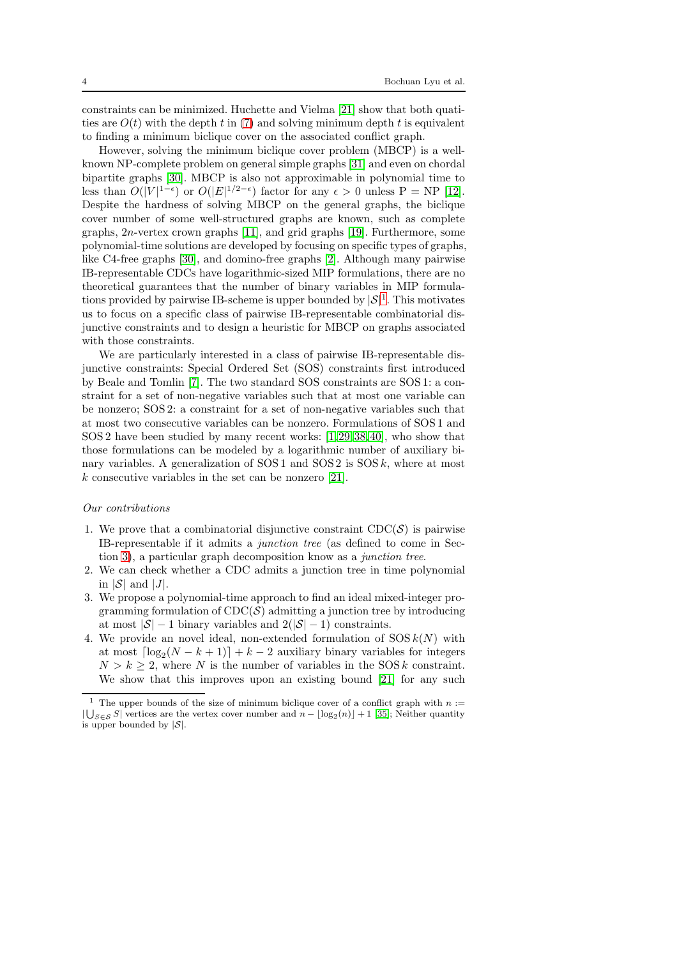constraints can be minimized. Huchette and Vielma [\[21\]](#page-24-11) show that both quatities are  $O(t)$  with the depth t in [\(7\)](#page-2-0) and solving minimum depth t is equivalent to finding a minimum biclique cover on the associated conflict graph.

However, solving the minimum biclique cover problem (MBCP) is a wellknown NP-complete problem on general simple graphs [\[31\]](#page-25-8) and even on chordal bipartite graphs [\[30\]](#page-25-9). MBCP is also not approximable in polynomial time to less than  $O(|V|^{1-\epsilon})$  or  $O(|E|^{1/2-\epsilon})$  factor for any  $\epsilon > 0$  unless  $P = NP$  [\[12\]](#page-24-14). Despite the hardness of solving MBCP on the general graphs, the biclique cover number of some well-structured graphs are known, such as complete graphs, 2n-vertex crown graphs [\[11\]](#page-24-15), and grid graphs [\[19\]](#page-24-16). Furthermore, some polynomial-time solutions are developed by focusing on specific types of graphs, like C4-free graphs [\[30\]](#page-25-9), and domino-free graphs [\[2\]](#page-23-0). Although many pairwise IB-representable CDCs have logarithmic-sized MIP formulations, there are no theoretical guarantees that the number of binary variables in MIP formulations provided by pairwise IB-scheme is upper bounded by  $|\mathcal{S}|^1$  $|\mathcal{S}|^1$ . This motivates us to focus on a specific class of pairwise IB-representable combinatorial disjunctive constraints and to design a heuristic for MBCP on graphs associated with those constraints.

We are particularly interested in a class of pairwise IB-representable disjunctive constraints: Special Ordered Set (SOS) constraints first introduced by Beale and Tomlin [\[7\]](#page-24-17). The two standard SOS constraints are SOS 1: a constraint for a set of non-negative variables such that at most one variable can be nonzero; SOS 2: a constraint for a set of non-negative variables such that at most two consecutive variables can be nonzero. Formulations of SOS 1 and SOS 2 have been studied by many recent works: [\[1,](#page-23-1)[29,](#page-25-10)[38,](#page-25-11)[40\]](#page-25-7), who show that those formulations can be modeled by a logarithmic number of auxiliary binary variables. A generalization of  $SOS1$  and  $SOS2$  is  $SOSk$ , where at most k consecutive variables in the set can be nonzero [\[21\]](#page-24-11).

#### *Our contributions*

- 1. We prove that a combinatorial disjunctive constraint  $\text{CDC}(\mathcal{S})$  is pairwise IB-representable if it admits a *junction tree* (as defined to come in Section [3\)](#page-6-0), a particular graph decomposition know as a *junction tree*.
- 2. We can check whether a CDC admits a junction tree in time polynomial in  $|\mathcal{S}|$  and  $|J|$ .
- 3. We propose a polynomial-time approach to find an ideal mixed-integer programming formulation of  $CDC(S)$  admitting a junction tree by introducing at most  $|\mathcal{S}| - 1$  binary variables and  $2(|\mathcal{S}| - 1)$  constraints.
- 4. We provide an novel ideal, non-extended formulation of  $SOSk(N)$  with at most  $\lceil \log_2(N - k + 1) \rceil + k - 2$  auxiliary binary variables for integers  $N > k \geq 2$ , where N is the number of variables in the SOS k constraint. We show that this improves upon an existing bound [\[21\]](#page-24-11) for any such

<span id="page-3-0"></span><sup>&</sup>lt;sup>1</sup> The upper bounds of the size of minimum biclique cover of a conflict graph with  $n :=$  $|\bigcup_{S \in \mathcal{S}} S|$  vertices are the vertex cover number and  $n - \lfloor \log_2(n) \rfloor + 1$  [\[35\]](#page-25-12); Neither quantity is upper bounded by  $|S|$ .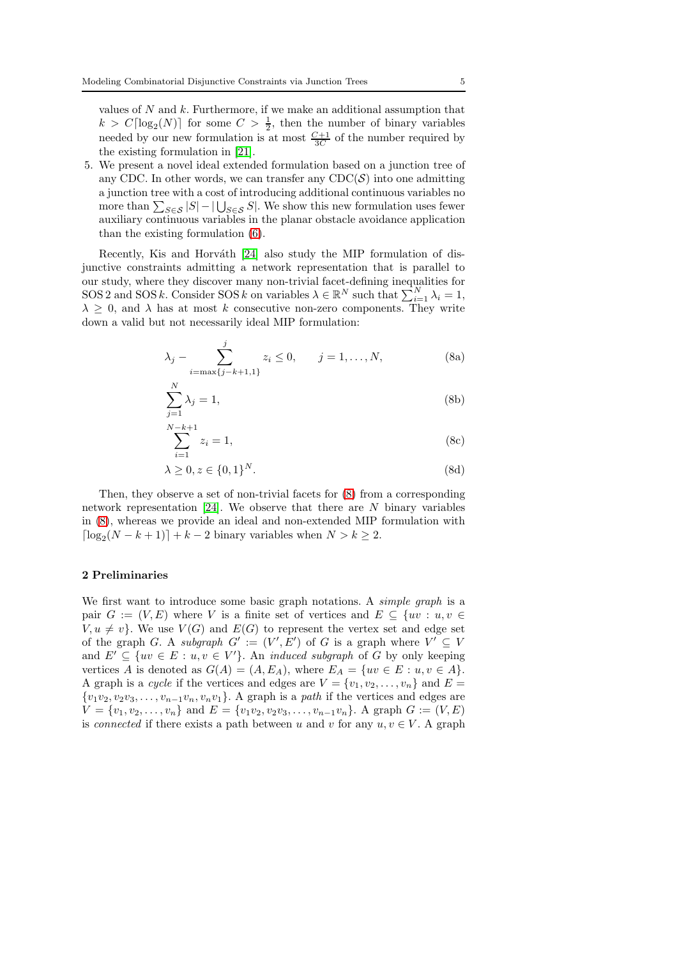values of  $N$  and  $k$ . Furthermore, if we make an additional assumption that  $k > C \lceil \log_2(N) \rceil$  for some  $C > \frac{1}{2}$ , then the number of binary variables needed by our new formulation is at most  $\frac{C+1}{3C}$  of the number required by the existing formulation in [\[21\]](#page-24-11).

5. We present a novel ideal extended formulation based on a junction tree of any CDC. In other words, we can transfer any  $\text{CDC}(\mathcal{S})$  into one admitting a junction tree with a cost of introducing additional continuous variables no more than  $\sum_{S \in \mathcal{S}} |S| - |\bigcup_{S \in \mathcal{S}} S|$ . We show this new formulation uses fewer auxiliary continuous variables in the planar obstacle avoidance application than the existing formulation [\(6\)](#page-2-2).

Recently, Kis and Horváth  $[24]$  also study the MIP formulation of disjunctive constraints admitting a network representation that is parallel to our study, where they discover many non-trivial facet-defining inequalities for SOS 2 and SOS k. Consider SOS k on variables  $\lambda \in \mathbb{R}^N$  such that  $\sum_{i=1}^N \lambda_i = 1$ ,  $\lambda \geq 0$ , and  $\lambda$  has at most k consecutive non-zero components. They write down a valid but not necessarily ideal MIP formulation:

<span id="page-4-0"></span>
$$
\lambda_j - \sum_{i=\max\{j-k+1,1\}}^j z_i \le 0, \qquad j=1,\ldots,N,
$$
 (8a)

$$
\sum_{j=1}^{N} \lambda_j = 1,\tag{8b}
$$

$$
\sum_{i=1}^{N-k+1} z_i = 1,\t\t(8c)
$$

$$
\lambda \ge 0, z \in \{0, 1\}^N. \tag{8d}
$$

Then, they observe a set of non-trivial facets for [\(8\)](#page-4-0) from a corresponding network representation  $[24]$ . We observe that there are N binary variables in [\(8\)](#page-4-0), whereas we provide an ideal and non-extended MIP formulation with  $\lceil \log_2(N - k + 1) \rceil + k - 2$  binary variables when  $N > k \geq 2$ .

### 2 Preliminaries

We first want to introduce some basic graph notations. A *simple graph* is a pair  $G := (V, E)$  where V is a finite set of vertices and  $E \subseteq \{uv : u, v \in$  $V, u \neq v$ . We use  $V(G)$  and  $E(G)$  to represent the vertex set and edge set of the graph G. A *subgraph*  $G' := (V', E')$  of G is a graph where  $V' \subseteq V$ and  $E' \subseteq \{uv \in E : u, v \in V'\}$ . An *induced subgraph* of G by only keeping vertices A is denoted as  $G(A) = (A, E_A)$ , where  $E_A = \{uv \in E : u, v \in A\}.$ A graph is a *cycle* if the vertices and edges are  $V = \{v_1, v_2, \dots, v_n\}$  and  $E =$  $\{v_1v_2, v_2v_3, \ldots, v_{n-1}v_n, v_nv_1\}$ . A graph is a *path* if the vertices and edges are  $V = \{v_1, v_2, \ldots, v_n\}$  and  $E = \{v_1v_2, v_2v_3, \ldots, v_{n-1}v_n\}$ . A graph  $G := (V, E)$ is *connected* if there exists a path between u and v for any  $u, v \in V$ . A graph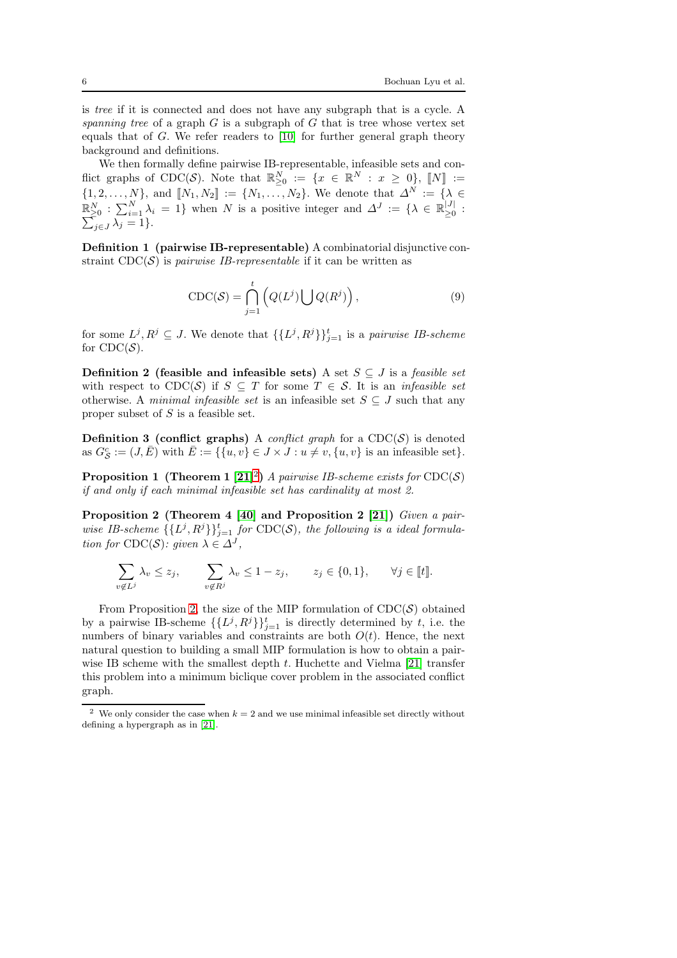is *tree* if it is connected and does not have any subgraph that is a cycle. A *spanning tree* of a graph G is a subgraph of G that is tree whose vertex set equals that of  $G$ . We refer readers to [\[10\]](#page-24-19) for further general graph theory background and definitions.

We then formally define pairwise IB-representable, infeasible sets and conflict graphs of CDC(S). Note that  $\mathbb{R}^N_{\geq 0} := \{x \in \mathbb{R}^N : x \geq 0\}, \llbracket N \rrbracket :=$  $\{1, 2, \ldots, N\}$ , and  $[\![N_1, N_2]\!] := \{N_1, \ldots, N_2\}$ . We denote that  $\Delta^N := \{\lambda \in$  $\mathbb{R}_{\geq 0}^N$  :  $\sum_{i=1}^N \lambda_i = 1$ } when N is a positive integer and  $\Delta^J := \{ \lambda \in \mathbb{R}_{\geq 0}^{|J|}$  $\mathbb{R}_{\geq 0}^N : \sum_{i=1}^N \lambda_i = 1$ } when N is a positive integer and  $\Delta^J := \{ \lambda \in \mathbb{R}_{\geq 0}^{|J|} : \sum_{j \in J} \lambda_j = 1 \}.$ 

Definition 1 (pairwise IB-representable) A combinatorial disjunctive constraint  $CDC(S)$  is *pairwise IB-representable* if it can be written as

$$
CDC(S) = \bigcap_{j=1}^{t} \left( Q(L^{j}) \bigcup Q(R^{j}) \right), \qquad (9)
$$

for some  $L^j, R^j \subseteq J$ . We denote that  $\{\{L^j, R^j\}\}_{j=1}^t$  is a *pairwise IB-scheme* for  $CDC(S)$ .

<span id="page-5-3"></span>Definition 2 (feasible and infeasible sets) A set  $S \subseteq J$  is a *feasible set* with respect to  $CDC(S)$  if  $S \subseteq T$  for some  $T \in S$ . It is an *infeasible set* otherwise. A *minimal infeasible set* is an infeasible set  $S \subseteq J$  such that any proper subset of  $S$  is a feasible set.

**Definition 3 (conflict graphs)** A *conflict graph* for a  $CDC(S)$  is denoted as  $G_{\mathcal{S}}^c := (J, \overline{E})$  with  $\overline{E} := \{ \{u, v\} \in J \times J : u \neq v, \{u, v\}$  is an infeasible set}.

<span id="page-5-2"></span>**Proposition 1 (Theorem 1** [\[21\]](#page-24-11)<sup>[2](#page-5-0)</sup>) *A pairwise IB-scheme exists for*  $\text{CDC}(\mathcal{S})$ *if and only if each minimal infeasible set has cardinality at most 2.*

<span id="page-5-1"></span>Proposition 2 (Theorem 4 [\[40\]](#page-25-7) and Proposition 2 [\[21\]](#page-24-11)) *Given a pairwise IB-scheme*  $\{\{L^j, R^j\}\}_{j=1}^t$  *for* CDC(S), the following is a ideal formula*tion for*  $\text{CDC}(\mathcal{S})$ : given  $\lambda \in \Delta^J$ ,

$$
\sum_{v \notin L^j} \lambda_v \le z_j, \qquad \sum_{v \notin R^j} \lambda_v \le 1 - z_j, \qquad z_j \in \{0, 1\}, \qquad \forall j \in [t].
$$

From Proposition [2,](#page-5-1) the size of the MIP formulation of  $\text{CDC}(\mathcal{S})$  obtained by a pairwise IB-scheme  $\{\{L^j, R^j\}\}_{j=1}^t$  is directly determined by t, i.e. the numbers of binary variables and constraints are both  $O(t)$ . Hence, the next natural question to building a small MIP formulation is how to obtain a pairwise IB scheme with the smallest depth  $t$ . Huchette and Vielma [\[21\]](#page-24-11) transfer this problem into a minimum biclique cover problem in the associated conflict graph.

<span id="page-5-0"></span><sup>&</sup>lt;sup>2</sup> We only consider the case when  $k = 2$  and we use minimal infeasible set directly without defining a hypergraph as in [\[21\]](#page-24-11).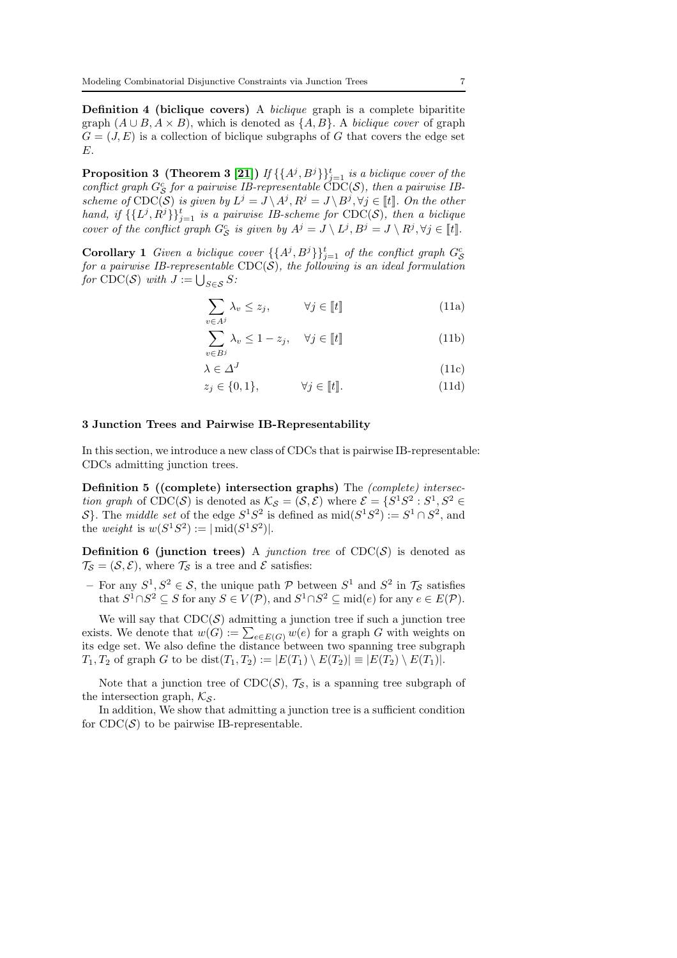Definition 4 (biclique covers) A *biclique* graph is a complete biparitite graph  $(A \cup B, A \times B)$ , which is denoted as  $\{A, B\}$ . A *biclique cover* of graph  $G = (J, E)$  is a collection of biclique subgraphs of G that covers the edge set E.

<span id="page-6-2"></span>**Proposition 3 (Theorem 3 [\[21\]](#page-24-11))** If  $\{\{A^j, B^j\}\}_{j=1}^t$  is a biclique cover of the *conflict graph*  $G_S^c$  *for a pairwise IB-representable*  $\text{CDC}(S)$ *, then a pairwise IBscheme of*  $\text{CDC}(\mathcal{S})$  *is given by*  $L^j = J \setminus A^j, R^j = J \setminus B^j, \forall j \in \llbracket t \rrbracket$ . On the other *hand, if*  $\{\{L^j, R^j\}\}_{j=1}^t$  *is a pairwise IB-scheme for* CDC(S)*, then a biclique cover of the conflict graph*  $G_S^c$  *is given by*  $A^j = J \setminus L^j$ ,  $B^j = J \setminus R^j$ ,  $\forall j \in [t]$ .

<span id="page-6-4"></span>**Corollary 1** Given a biclique cover  $\{\{A^j, B^j\}\}_{j=1}^t$  of the conflict graph  $G_S^c$ *for a pairwise IB-representable* CDC(S)*, the following is an ideal formulation for*  $\text{CDC}(\mathcal{S})$  *with*  $J := \bigcup_{S \in \mathcal{S}} S$ :

$$
\sum_{v \in A^j} \lambda_v \le z_j, \qquad \forall j \in [\![t]\!]
$$
\n(11a)

$$
\sum_{v \in B^j} \lambda_v \le 1 - z_j, \quad \forall j \in [\![t]\!]
$$
\n(11b)

$$
\lambda \in \Delta^J \tag{11c}
$$

$$
z_j \in \{0, 1\}, \qquad \forall j \in [\![t]\!]. \tag{11d}
$$

#### <span id="page-6-0"></span>3 Junction Trees and Pairwise IB-Representability

In this section, we introduce a new class of CDCs that is pairwise IB-representable: CDCs admitting junction trees.

Definition 5 ((complete) intersection graphs) The *(complete) intersection graph* of CDC(S) is denoted as  $\mathcal{K}_{\mathcal{S}} = (\mathcal{S}, \mathcal{E})$  where  $\mathcal{E} = \{S^1 S^2 : S^1, S^2 \in \mathcal{E} \}$ S}. The *middle set* of the edge  $S^1S^2$  is defined as  $mid(S^1S^2) := S^1 \cap S^2$ , and the *weight* is  $w(S^1S^2) := |\text{mid}(S^1S^2)|$ .

<span id="page-6-3"></span>**Definition 6 (junction trees)** A *junction tree* of  $CDC(S)$  is denoted as  $\mathcal{T}_{\mathcal{S}} = (\mathcal{S}, \mathcal{E})$ , where  $\mathcal{T}_{\mathcal{S}}$  is a tree and  $\mathcal{E}$  satisfies:

- For any  $S^1, S^2 \in \mathcal{S}$ , the unique path  $\mathcal P$  between  $S^1$  and  $S^2$  in  $\mathcal T_{\mathcal{S}}$  satisfies that  $S^1 \cap S^2 \subseteq S$  for any  $S \in V(\mathcal{P})$ , and  $S^1 \cap S^2 \subseteq \text{mid}(e)$  for any  $e \in E(\mathcal{P})$ .

We will say that  $CDC(S)$  admitting a junction tree if such a junction tree exists. We denote that  $w(G) := \sum_{e \in E(G)} w(e)$  for a graph G with weights on its edge set. We also define the distance between two spanning tree subgraph  $T_1, T_2$  of graph G to be dist $(T_1, T_2) := |E(T_1) \setminus E(T_2)| \equiv |E(T_2) \setminus E(T_1)|$ .

Note that a junction tree of  $CDC(S)$ ,  $\mathcal{T}_S$ , is a spanning tree subgraph of the intersection graph,  $\mathcal{K}_{\mathcal{S}}$ .

<span id="page-6-1"></span>In addition, We show that admitting a junction tree is a sufficient condition for  $\text{CDC}(\mathcal{S})$  to be pairwise IB-representable.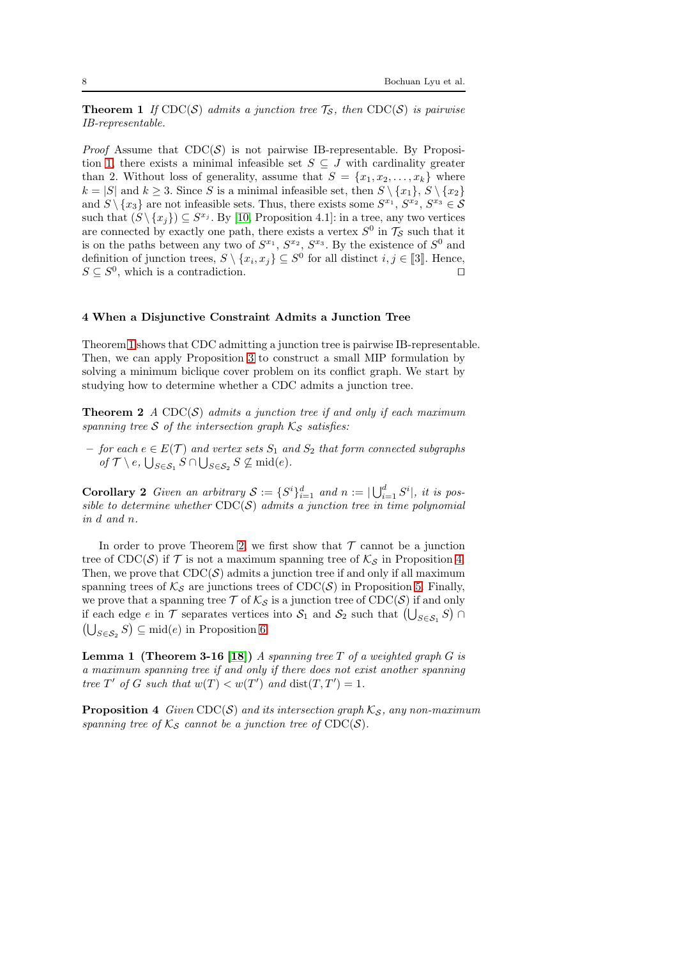**Theorem 1** If  $\text{CDC}(S)$  admits a junction tree  $\mathcal{T}_S$ , then  $\text{CDC}(S)$  is pairwise *IB-representable.*

*Proof* Assume that  $CDC(S)$  is not pairwise IB-representable. By Proposi-tion [1,](#page-5-2) there exists a minimal infeasible set  $S \subseteq J$  with cardinality greater than 2. Without loss of generality, assume that  $S = \{x_1, x_2, \ldots, x_k\}$  where  $k = |S|$  and  $k \geq 3$ . Since S is a minimal infeasible set, then  $S \setminus \{x_1\}, S \setminus \{x_2\}$ and  $S \setminus \{x_3\}$  are not infeasible sets. Thus, there exists some  $S^{x_1}, S^{x_2}, S^{x_3} \in S$ such that  $(S \setminus \{x_j\}) \subseteq S^{x_j}$ . By [\[10,](#page-24-19) Proposition 4.1]: in a tree, any two vertices are connected by exactly one path, there exists a vertex  $S^0$  in  $\mathcal{T}_{\mathcal{S}}$  such that it is on the paths between any two of  $S^{x_1}, S^{x_2}, S^{x_3}$ . By the existence of  $S^0$  and definition of junction trees,  $S \setminus \{x_i, x_j\} \subseteq S^0$  for all distinct  $i, j \in [3]$ . Hence,  $S \subseteq S^0$ , which is a contradiction. □

#### 4 When a Disjunctive Constraint Admits a Junction Tree

Theorem [1](#page-6-1) shows that CDC admitting a junction tree is pairwise IB-representable. Then, we can apply Proposition [3](#page-6-2) to construct a small MIP formulation by solving a minimum biclique cover problem on its conflict graph. We start by studying how to determine whether a CDC admits a junction tree.

<span id="page-7-0"></span>**Theorem 2** *A* CDC $(S)$  *admits a junction tree if and only if each maximum spanning tree* S *of the intersection graph*  $K_S$  *satisfies:* 

 $−$  *for each*  $e \in E(T)$  *and vertex sets*  $S_1$  *and*  $S_2$  *that form connected subgraphs*  $of \mathcal{T} \setminus e$ ,  $\bigcup_{S \in \mathcal{S}_1} S \cap \bigcup_{S \in \mathcal{S}_2} S \nsubseteq \text{mid}(e)$ .

**Corollary 2** Given an arbitrary  $S := \{S^i\}_{i=1}^d$  and  $n := \bigcup_{i=1}^d S^i$ , it is pos*sible to determine whether* CDC(S) *admits a junction tree in time polynomial in* d *and* n*.*

In order to prove Theorem [2,](#page-7-0) we first show that  $\mathcal T$  cannot be a junction tree of CDC(S) if  $\mathcal T$  is not a maximum spanning tree of  $\mathcal K_{\mathcal S}$  in Proposition [4.](#page-7-1) Then, we prove that  $CDC(S)$  admits a junction tree if and only if all maximum spanning trees of  $\mathcal{K}_{\mathcal{S}}$  are junctions trees of CDC( $\mathcal{S}$ ) in Proposition [5.](#page-9-0) Finally, we prove that a spanning tree  $\mathcal T$  of  $\mathcal K_{\mathcal S}$  is a junction tree of  $\text{CDC}(\mathcal S)$  if and only if each edge  $e$  in  $\mathcal T$  separates vertices into  $\mathcal S_1$  and  $\mathcal S_2$  such that  $(\bigcup_{S \in \mathcal S_1} S) \cap$  $(\bigcup_{S \in \mathcal{S}_2} S) \subseteq \text{mid}(e)$  in Proposition [6.](#page-9-1)

<span id="page-7-2"></span>Lemma 1 (Theorem 3-16 [\[18\]](#page-24-20)) *A spanning tree* T *of a weighted graph* G *is a maximum spanning tree if and only if there does not exist another spanning tree*  $T'$  *of*  $G$  *such that*  $w(T) < w(T')$  *and*  $dist(T, T') = 1$ *.* 

<span id="page-7-1"></span>**Proposition 4** *Given*  $CDC(S)$  *and its intersection graph*  $K_S$ *, any non-maximum spanning tree of*  $K_{\mathcal{S}}$  *cannot be a junction tree of*  $\text{CDC}(\mathcal{S})$ *.*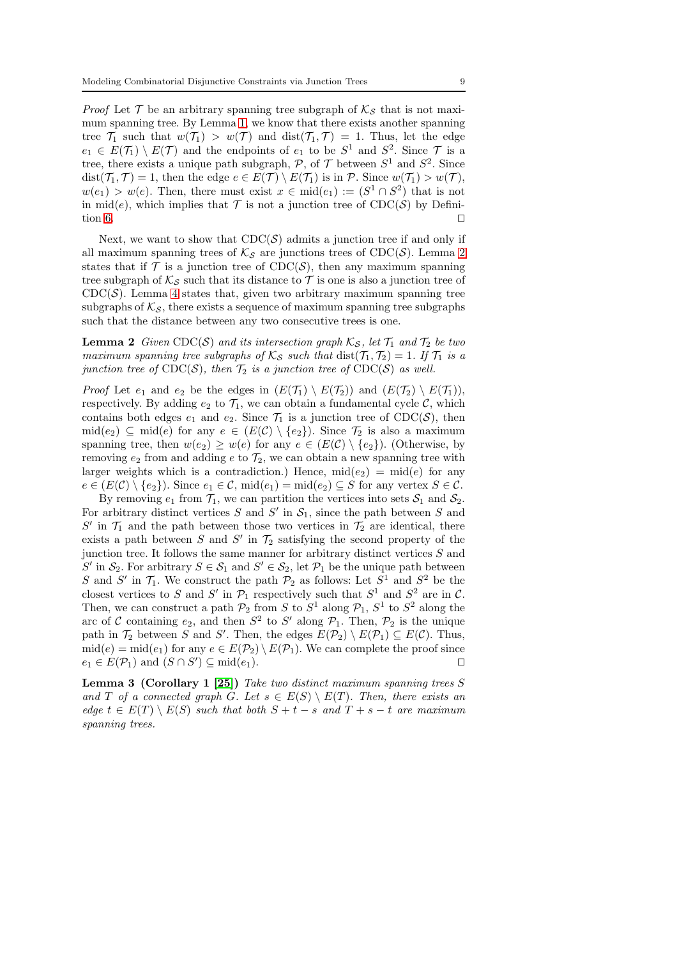*Proof* Let  $\mathcal T$  be an arbitrary spanning tree subgraph of  $\mathcal K_{\mathcal S}$  that is not maximum spanning tree. By Lemma [1,](#page-7-2) we know that there exists another spanning tree  $\mathcal{T}_1$  such that  $w(\mathcal{T}_1) > w(\mathcal{T})$  and  $dist(\mathcal{T}_1, \mathcal{T}) = 1$ . Thus, let the edge  $e_1 \in E(\mathcal{T}_1) \setminus E(\mathcal{T})$  and the endpoints of  $e_1$  to be  $S^1$  and  $S^2$ . Since  $\mathcal{T}$  is a tree, there exists a unique path subgraph,  $P$ , of  $T$  between  $S^1$  and  $S^2$ . Since  $dist(\mathcal{T}_1, \mathcal{T}) = 1$ , then the edge  $e \in E(\mathcal{T}) \setminus E(\mathcal{T}_1)$  is in  $\mathcal{P}$ . Since  $w(\mathcal{T}_1) > w(\mathcal{T})$ ,  $w(e_1) > w(e)$ . Then, there must exist  $x \in mid(e_1) := (S^1 \cap S^2)$  that is not in mid(e), which implies that  $\mathcal T$  is not a junction tree of CDC( $\mathcal S$ ) by Defini-tion [6.](#page-6-3)  $□$ 

Next, we want to show that  $CDC(S)$  admits a junction tree if and only if all maximum spanning trees of  $\mathcal{K}_{\mathcal{S}}$  are junctions trees of CDC(S). Lemma [2](#page-8-0) states that if  $\mathcal T$  is a junction tree of CDC( $\mathcal S$ ), then any maximum spanning tree subgraph of  $\mathcal{K}_{\mathcal{S}}$  such that its distance to  $\mathcal T$  is one is also a junction tree of CDC $(S)$ . Lemma [4](#page-8-1) states that, given two arbitrary maximum spanning tree subgraphs of  $\mathcal{K}_{\mathcal{S}}$ , there exists a sequence of maximum spanning tree subgraphs such that the distance between any two consecutive trees is one.

<span id="page-8-0"></span>**Lemma 2** *Given* CDC(S) *and its intersection graph*  $K_S$ *, let*  $\mathcal{T}_1$  *and*  $\mathcal{T}_2$  *be two maximum spanning tree subgraphs of*  $K_S$  *such that* dist $(\mathcal{T}_1, \mathcal{T}_2) = 1$ *. If*  $\mathcal{T}_1$  *is a junction tree of*  $CDC(S)$ *, then*  $\mathcal{T}_2$  *is a junction tree of*  $CDC(S)$  *as well.* 

*Proof* Let  $e_1$  and  $e_2$  be the edges in  $(E(\mathcal{T}_1) \setminus E(\mathcal{T}_2))$  and  $(E(\mathcal{T}_2) \setminus E(\mathcal{T}_1)),$ respectively. By adding  $e_2$  to  $\mathcal{T}_1$ , we can obtain a fundamental cycle  $\mathcal{C}$ , which contains both edges  $e_1$  and  $e_2$ . Since  $\mathcal{T}_1$  is a junction tree of CDC(S), then  $\text{mid}(e_2) \subseteq \text{mid}(e)$  for any  $e \in (E(\mathcal{C}) \setminus \{e_2\})$ . Since  $\mathcal{T}_2$  is also a maximum spanning tree, then  $w(e_2) \geq w(e)$  for any  $e \in (E(\mathcal{C}) \setminus \{e_2\})$ . (Otherwise, by removing  $e_2$  from and adding e to  $\mathcal{T}_2$ , we can obtain a new spanning tree with larger weights which is a contradiction.) Hence,  $\text{mid}(e_2) = \text{mid}(e)$  for any  $e \in (E(\mathcal{C}) \setminus \{e_2\})$ . Since  $e_1 \in \mathcal{C}$ , mid $(e_1) = \text{mid}(e_2) \subseteq S$  for any vertex  $S \in \mathcal{C}$ .

By removing  $e_1$  from  $\mathcal{T}_1$ , we can partition the vertices into sets  $\mathcal{S}_1$  and  $\mathcal{S}_2$ . For arbitrary distinct vertices  $S$  and  $S'$  in  $S_1$ , since the path between  $S$  and  $S'$  in  $\mathcal{T}_1$  and the path between those two vertices in  $\mathcal{T}_2$  are identical, there exists a path between S and S' in  $\mathcal{T}_2$  satisfying the second property of the junction tree. It follows the same manner for arbitrary distinct vertices  $S$  and S' in  $S_2$ . For arbitrary  $S \in S_1$  and  $S' \in S_2$ , let  $\mathcal{P}_1$  be the unique path between S and S' in  $\mathcal{T}_1$ . We construct the path  $\mathcal{P}_2$  as follows: Let  $S^1$  and  $S^2$  be the closest vertices to S and S' in  $\mathcal{P}_1$  respectively such that  $S^1$  and  $S^2$  are in C. Then, we can construct a path  $\mathcal{P}_2$  from S to  $S^1$  along  $\mathcal{P}_1$ ,  $S^1$  to  $S^2$  along the arc of C containing  $e_2$ , and then  $S^2$  to S' along  $\mathcal{P}_1$ . Then,  $\mathcal{P}_2$  is the unique path in  $\mathcal{T}_2$  between S and S'. Then, the edges  $E(\mathcal{P}_2) \setminus E(\mathcal{P}_1) \subseteq E(\mathcal{C})$ . Thus,  $mid(e) = mid(e_1)$  for any  $e \in E(\mathcal{P}_2) \setminus E(\mathcal{P}_1)$ . We can complete the proof since  $e_1 \in E(\mathcal{P}_1)$  and  $(S \cap S') \subseteq \text{mid}(e_1)$ .

<span id="page-8-2"></span><span id="page-8-1"></span>Lemma 3 (Corollary 1 [\[25\]](#page-24-21)) *Take two distinct maximum spanning trees* S *and* T *of a connected graph* G*. Let*  $s \in E(S) \setminus E(T)$ *. Then, there exists an*  $edge t \in E(T) \setminus E(S)$  *such that both*  $S + t - s$  *and*  $T + s - t$  *are maximum spanning trees.*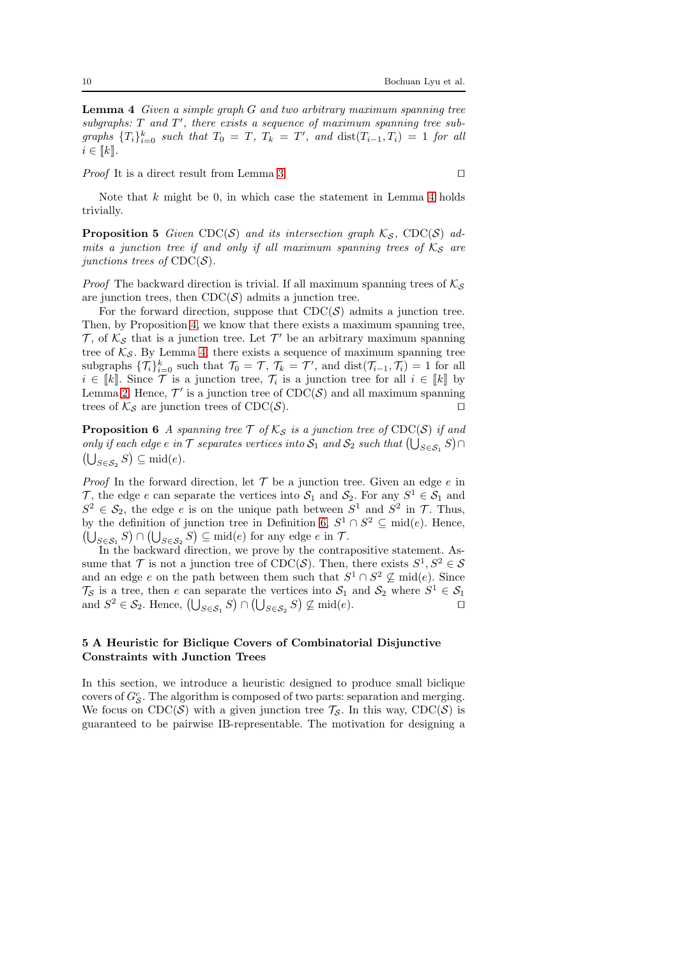Lemma 4 *Given a simple graph* G *and two arbitrary maximum spanning tree* subgraphs: T and T', there exists a sequence of maximum spanning tree sub $graphs \{T_i\}_{i=0}^k \text{ such that } T_0 = T, T_k = T', \text{ and } \text{dist}(T_{i-1}, T_i) = 1 \text{ for all }$  $i \in \llbracket k \rrbracket$ .

*Proof* It is a direct result from Lemma [3.](#page-8-2) □

<span id="page-9-0"></span>Note that  $k$  might be 0, in which case the statement in Lemma [4](#page-8-1) holds trivially.

**Proposition 5** Given CDC(S) and its intersection graph  $K_S$ , CDC(S) ad*mits a junction tree if and only if all maximum spanning trees of*  $K_S$  *are junctions trees of*  $CDC(S)$ *.* 

*Proof* The backward direction is trivial. If all maximum spanning trees of  $\mathcal{K}_{\mathcal{S}}$ are junction trees, then  $\text{CDC}(\mathcal{S})$  admits a junction tree.

For the forward direction, suppose that  $CDC(S)$  admits a junction tree. Then, by Proposition [4,](#page-7-1) we know that there exists a maximum spanning tree,  $\mathcal{T}$ , of  $\mathcal{K}_{\mathcal{S}}$  that is a junction tree. Let  $\mathcal{T}'$  be an arbitrary maximum spanning tree of  $K_{\mathcal{S}}$ . By Lemma [4,](#page-8-1) there exists a sequence of maximum spanning tree subgraphs  $\{\mathcal{T}_i\}_{i=0}^k$  such that  $\mathcal{T}_0 = \mathcal{T}, \mathcal{T}_k = \mathcal{T}'$ , and  $dist(\mathcal{T}_{i-1}, \mathcal{T}_i) = 1$  for all  $i \in \llbracket k \rrbracket$ . Since  $\mathcal T$  is a junction tree,  $\mathcal T_i$  is a junction tree for all  $i \in \llbracket k \rrbracket$  by Lemma [2.](#page-8-0) Hence,  $\mathcal{T}'$  is a junction tree of  $\text{CDC}(\mathcal{S})$  and all maximum spanning trees of  $\mathcal{K}_{\mathcal{S}}$  are junction trees of CDC( $\mathcal{S}$ ). □

<span id="page-9-1"></span>**Proposition 6** *A spanning tree*  $\mathcal{T}$  *of*  $\mathcal{K}_{\mathcal{S}}$  *is a junction tree of* CDC( $\mathcal{S}$ ) *if and only if each edge e in*  $\mathcal T$  *separates vertices into*  $\mathcal S_1$  *and*  $\mathcal S_2$  *such that*  $(\bigcup_{S \in \mathcal S_1} S) \cap$  $(\bigcup_{S \in \mathcal{S}_2} S) \subseteq \text{mid}(e).$ 

*Proof* In the forward direction, let  $\mathcal T$  be a junction tree. Given an edge  $e$  in T, the edge e can separate the vertices into  $S_1$  and  $S_2$ . For any  $S^1 \in S_1$  and  $S^2 \in \mathcal{S}_2$ , the edge e is on the unique path between  $S^1$  and  $S^2$  in  $\mathcal{T}$ . Thus, by the definition of junction tree in Definition [6,](#page-6-3)  $S^1 \cap S^2 \subseteq \text{mid}(e)$ . Hence,  $(\bigcup_{S \in \mathcal{S}_1} S) \cap (\bigcup_{S \in \mathcal{S}_2} S) \subseteq \text{mid}(e)$  for any edge  $e$  in  $\mathcal{T}$ .

In the backward direction, we prove by the contrapositive statement. Assume that  $\mathcal T$  is not a junction tree of CDC( $\mathcal S$ ). Then, there exists  $S^1, S^2 \in \mathcal S$ and an edge e on the path between them such that  $S^1 \cap S^2 \nsubseteq \text{mid}(e)$ . Since  $\mathcal{T}_{\mathcal{S}}$  is a tree, then e can separate the vertices into  $\mathcal{S}_1$  and  $\mathcal{S}_2$  where  $S^1 \in \mathcal{S}_1$ and  $S^2 \in \mathcal{S}_2$ . Hence,  $(\bigcup_{S \in \mathcal{S}_1} S) \cap (\bigcup_{S \in \mathcal{S}_2} S) \nsubseteq \text{mid}(e)$ .

# 5 A Heuristic for Biclique Covers of Combinatorial Disjunctive Constraints with Junction Trees

In this section, we introduce a heuristic designed to produce small biclique covers of  $G_{\mathcal{S}}^c$ . The algorithm is composed of two parts: separation and merging. We focus on CDC(S) with a given junction tree  $\mathcal{T}_{\mathcal{S}}$ . In this way, CDC(S) is guaranteed to be pairwise IB-representable. The motivation for designing a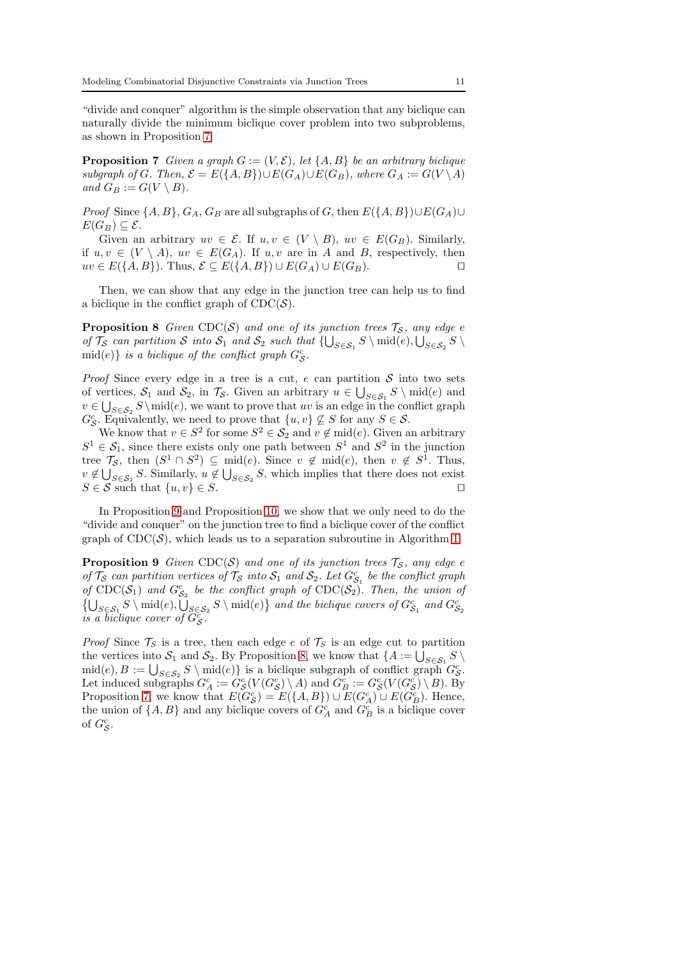"divide and conquer" algorithm is the simple observation that any biclique can naturally divide the minimum biclique cover problem into two subproblems, as shown in Proposition [7.](#page-10-0)

<span id="page-10-0"></span>**Proposition 7** *Given a graph*  $G := (V, \mathcal{E})$ *, let*  $\{A, B\}$  *be an arbitrary biclique subgraph of* G. Then,  $\mathcal{E} = E({A, B}) \cup E(G_A) \cup E(G_B)$ , where  $G_A := G(V \setminus A)$ *and*  $G_B := G(V \setminus B)$ *.* 

*Proof* Since  $\{A, B\}$ ,  $G_A$ ,  $G_B$  are all subgraphs of G, then  $E(\{A, B\}) \cup E(G_A) \cup$  $E(G_B) \subseteq \mathcal{E}.$ 

Given an arbitrary  $uv \in \mathcal{E}$ . If  $u, v \in (V \setminus B)$ ,  $uv \in E(G_B)$ . Similarly, if  $u, v \in (V \setminus A)$ ,  $uv \in E(G_A)$ . If  $u, v$  are in A and B, respectively, then  $uv \in E({A, B})$ . Thus,  $\mathcal{E} \subseteq E({A, B}) \cup E(G_A) \cup E(G_B)$ .

<span id="page-10-2"></span>Then, we can show that any edge in the junction tree can help us to find a biclique in the conflict graph of  $\text{CDC}(\mathcal{S})$ .

**Proposition 8** *Given* CDC(S) *and one of its junction trees*  $\mathcal{T}_{\mathcal{S}}$ *, any edge e of*  $\mathcal{T}_{\mathcal{S}}$  *can partition*  $\mathcal{S}$  *into*  $\mathcal{S}_1$  *and*  $\mathcal{S}_2$  *such that*  $\{\bigcup_{S \in \mathcal{S}_1} S \setminus \text{mid}(e), \bigcup_{S \in \mathcal{S}_2} S \setminus \text{mid}(e)\}$  $\text{mid}(e)$  *is a biclique of the conflict graph*  $G_{\mathcal{S}}^c$ .

*Proof* Since every edge in a tree is a cut,  $e$  can partition  $S$  into two sets of vertices,  $S_1$  and  $S_2$ , in  $\mathcal{T}_{\mathcal{S}}$ . Given an arbitrary  $u \in \bigcup_{S \in \mathcal{S}_1} S \setminus \text{mid}(e)$  and  $v \in \bigcup_{S \in \mathcal{S}_2} S \mid v$  (e), we want to prove that uv is an edge in the conflict graph  $G_{\mathcal{S}}^c$ . Equivalently, we need to prove that  $\{u, v\} \nsubseteq S$  for any  $S \in \mathcal{S}$ .

We know that  $v \in S^2$  for some  $S^2 \in \mathcal{S}_2$  and  $v \notin \text{mid}(e)$ . Given an arbitrary  $S^1 \in S_1$ , since there exists only one path between  $S^1$  and  $S^2$  in the junction tree  $\mathcal{T}_{\mathcal{S}}$ , then  $(S^1 \cap S^2) \subseteq \text{mid}(e)$ . Since  $v \notin \text{mid}(e)$ , then  $v \notin S^1$ . Thus,  $v \notin \bigcup_{S \in \mathcal{S}_1} S$ . Similarly,  $u \notin \bigcup_{S \in \mathcal{S}_2} S$ , which implies that there does not exist  $S \in \mathcal{S}$  such that  $\{u, v\} \in S$ . □

In Proposition [9](#page-10-1) and Proposition [10,](#page-11-0) we show that we only need to do the "divide and conquer" on the junction tree to find a biclique cover of the conflict graph of  $\text{CDC}(\mathcal{S})$ , which leads us to a separation subroutine in Algorithm [1.](#page-12-0)

<span id="page-10-1"></span>**Proposition 9** *Given* CDC( $S$ ) *and one of its junction trees*  $\mathcal{T}_S$ *, any edge e of*  $\mathcal{T}_{\mathcal{S}}$  *can partition vertices of*  $\mathcal{T}_{\mathcal{S}}$  *into*  $\mathcal{S}_1$  *and*  $\mathcal{S}_2$ *. Let*  $G_{\mathcal{S}_1}^c$  *be the conflict graph* of  $\text{CDC}(\mathcal{S}_1)$  and  $G_{\mathcal{S}_2}^c$  be the conflict graph of  $\text{CDC}(\mathcal{S}_2)$ . Then, the union of  $\{\bigcup_{S \in \mathcal{S}_1} S \setminus \text{mid}(e), \bigcup_{S \in \mathcal{S}_2} S \setminus \text{mid}(e)\}\$ and the biclique covers of  $G_{\mathcal{S}_1}^c$  and  $G_{\mathcal{S}_2}^c$ *is a biclique cover of*  $\tilde{G}_{\mathcal{S}}^c$ .

*Proof* Since  $\mathcal{T}_S$  is a tree, then each edge e of  $\mathcal{T}_S$  is an edge cut to partition the vertices into  $S_1$  and  $S_2$ . By Proposition [8,](#page-10-2) we know that  $\{A := \bigcup_{S \in S_1} S \setminus S\}$  $\text{mid}(e), B := \bigcup_{S \in \mathcal{S}_2} S \setminus \text{mid}(e) \}$  is a biclique subgraph of conflict graph  $G^c_{\mathcal{S}}$ . Let induced subgraphs  $G_A^c := G_S^c(V(G_S^c) \setminus A)$  and  $G_B^c := G_S^c(V(G_S^c) \setminus B)$ . By Proposition [7,](#page-10-0) we know that  $E(G_{\mathcal{S}}^c) = E({A, B}) \cup E(G_A^c) \cup E(G_B^c)$ . Hence, the union of  $\{A, B\}$  and any biclique covers of  $G_A^c$  and  $G_B^c$  is a biclique cover of  $G_{\mathcal{S}}^c$ .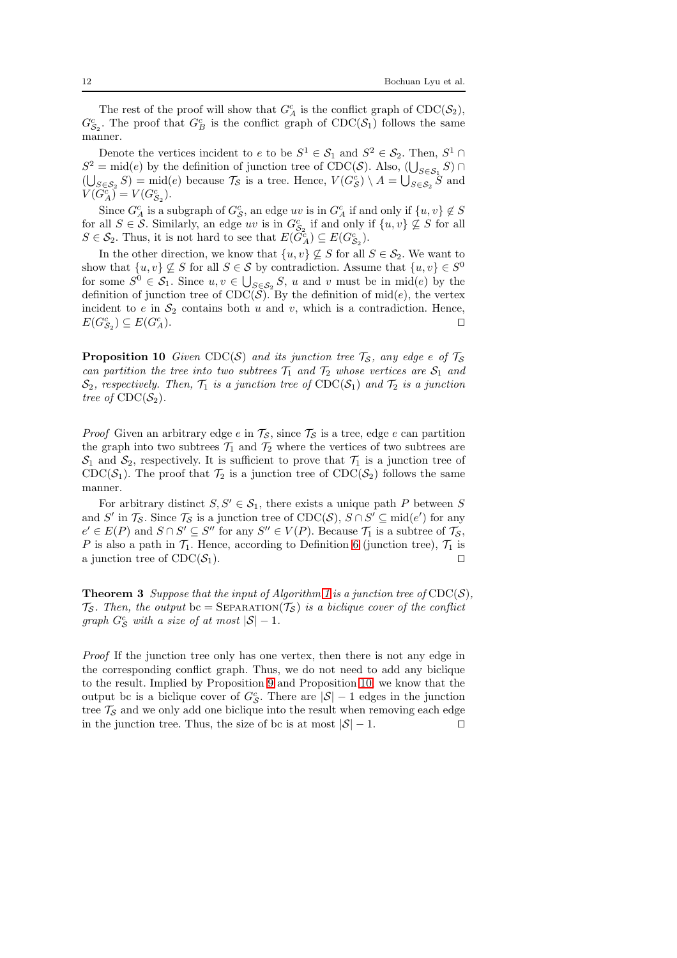The rest of the proof will show that  $G_A^c$  is the conflict graph of  $\text{CDC}(\mathcal{S}_2)$ ,  $G_{\mathcal{S}_2}^c$ . The proof that  $G_B^c$  is the conflict graph of  $\mathrm{CDC}(\mathcal{S}_1)$  follows the same manner.

Denote the vertices incident to  $e$  to be  $S^1 \in S_1$  and  $S^2 \in S_2$ . Then,  $S^1 \cap$  $S^2 = \text{mid}(e)$  by the definition of junction tree of CDC(S). Also,  $(\bigcup_{S \in S_1} S) \cap$  $(\bigcup_{S \in \mathcal{S}_2} S) = \text{mid}(e)$  because  $\mathcal{T}_{\mathcal{S}}$  is a tree. Hence,  $V(G_{\mathcal{S}}^c) \setminus A = \bigcup_{S \in \mathcal{S}_2} S$  and  $V(G_A^c) = V(G_{S_2}^c).$ 

Since  $G_A^c$  is a subgraph of  $G_S^c$ , an edge uv is in  $G_A^c$  if and only if  $\{u, v\} \notin S$ for all  $S \in \mathcal{S}$ . Similarly, an edge uv is in  $G_{\mathcal{S}_2}^c$  if and only if  $\{u, v\} \nsubseteq S$  for all  $S \in \mathcal{S}_2$ . Thus, it is not hard to see that  $E(\tilde{G}_A^c) \subseteq E(G_{\mathcal{S}_2}^c)$ .

In the other direction, we know that  $\{u, v\} \nsubseteq S$  for all  $S \in \mathcal{S}_2$ . We want to show that  $\{u, v\} \nsubseteq S$  for all  $S \in S$  by contradiction. Assume that  $\{u, v\} \in S^0$ for some  $S^0 \in \mathcal{S}_1$ . Since  $u, v \in \bigcup_{S \in \mathcal{S}_2} S$ , u and v must be in mid(e) by the definition of junction tree of  $CDC(\tilde{S})$ . By the definition of mid(e), the vertex incident to e in  $S_2$  contains both u and v, which is a contradiction. Hence,  $E(G_{\mathcal{S}_2}^c) \subseteq E(G_{\mathcal{A}}^c)$  $L_A^c$ ).  $□$ 

<span id="page-11-0"></span>**Proposition 10** *Given* CDC(S) *and its junction tree*  $\mathcal{T}_s$ *, any edge e of*  $\mathcal{T}_s$ *can partition the tree into two subtrees*  $\mathcal{T}_1$  *and*  $\mathcal{T}_2$  *whose vertices are*  $\mathcal{S}_1$  *and*  $\mathcal{S}_2$ , respectively. Then,  $\mathcal{T}_1$  is a junction tree of  $\text{CDC}(\mathcal{S}_1)$  and  $\mathcal{T}_2$  is a junction *tree of*  $CDC(S_2)$ *.* 

*Proof* Given an arbitrary edge e in  $\mathcal{T}_{\mathcal{S}}$ , since  $\mathcal{T}_{\mathcal{S}}$  is a tree, edge e can partition the graph into two subtrees  $\mathcal{T}_1$  and  $\mathcal{T}_2$  where the vertices of two subtrees are  $S_1$  and  $S_2$ , respectively. It is sufficient to prove that  $\mathcal{T}_1$  is a junction tree of CDC( $S_1$ ). The proof that  $\mathcal{T}_2$  is a junction tree of CDC( $S_2$ ) follows the same manner.

For arbitrary distinct  $S, S' \in \mathcal{S}_1$ , there exists a unique path P between S and S' in  $\mathcal{T}_{\mathcal{S}}$ . Since  $\mathcal{T}_{\mathcal{S}}$  is a junction tree of  $\text{CDC}(\mathcal{S}), S \cap S' \subseteq \text{mid}(e')$  for any  $e' \in E(P)$  and  $S \cap S' \subseteq S''$  for any  $S'' \in V(P)$ . Because  $\mathcal{T}_1$  is a subtree of  $\mathcal{T}_S$ , P is also a path in  $\mathcal{T}_1$ . Hence, according to Definition [6](#page-6-3) (junction tree),  $\mathcal{T}_1$  is a junction tree of  $CDC(\mathcal{S}_1)$ . □

<span id="page-11-1"></span>**Theorem 3** *Suppose that the input of Algorithm [1](#page-12-0) is a junction tree of*  $CDC(S)$ *,*  $\mathcal{T}_{\mathcal{S}}$ *. Then, the output* bc = SEPARATION( $\mathcal{T}_{\mathcal{S}}$ ) *is a biclique cover of the conflict graph*  $G_S^c$  *with a size of at most*  $|S| - 1$ *.* 

*Proof* If the junction tree only has one vertex, then there is not any edge in the corresponding conflict graph. Thus, we do not need to add any biclique to the result. Implied by Proposition [9](#page-10-1) and Proposition [10,](#page-11-0) we know that the output bc is a biclique cover of  $G_{\mathcal{S}}^c$ . There are  $|\mathcal{S}| - 1$  edges in the junction tree  $\mathcal{T}_{\mathcal{S}}$  and we only add one biclique into the result when removing each edge in the junction tree. Thus, the size of bc is at most  $|S| - 1$ . □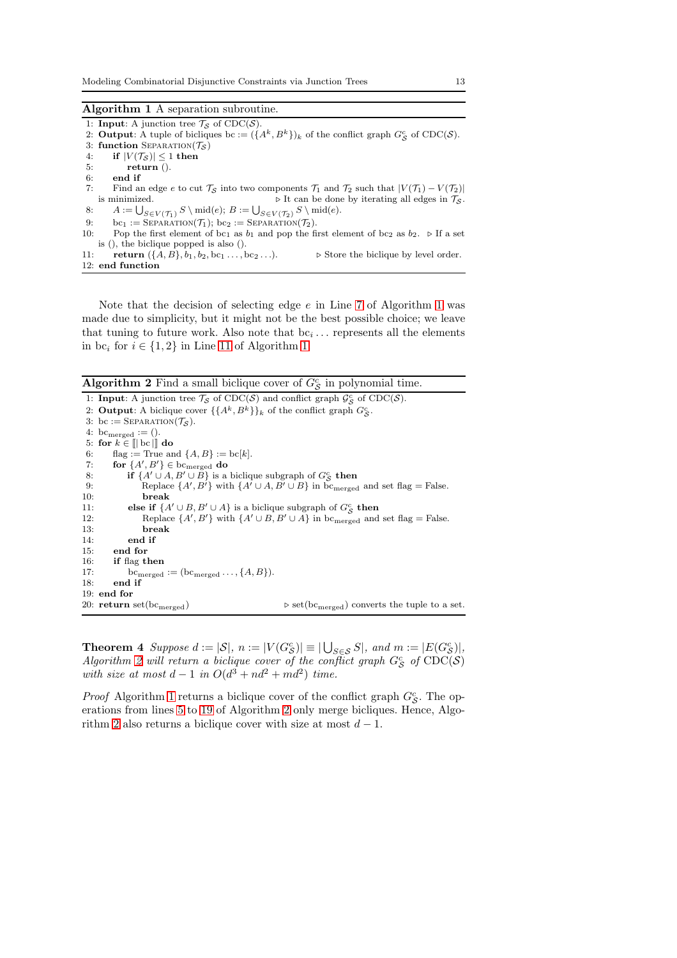#### <span id="page-12-0"></span>Algorithm 1 A separation subroutine.

1: **Input**: A junction tree  $\mathcal{T}_{\mathcal{S}}$  of  $\text{CDC}(\mathcal{S})$ . 2: **Output:** A tuple of bicliques bc :=  $({A^k, B^k})_k$  of the conflict graph  $G^c_{\mathcal{S}}$  of CDC( $\mathcal{S}$ ). 3: function SEPARATION( $\mathcal{T}_{\mathcal{S}}$ ) 4: if  $|V(\mathcal{T}_{\mathcal{S}})| \leq 1$  then<br>5: return (). return (). 6: end if 7: Find an edge e to cut  $\mathcal{T}_{\mathcal{S}}$  into two components  $\mathcal{T}_1$  and  $\mathcal{T}_2$  such that  $|V(\mathcal{T}_1) - V(\mathcal{T}_2)|$ is minimized.  $\triangleright$  It can be done by iterating all edges in  $\mathcal{T}_{\mathcal{S}}$ . 8:  $A := \bigcup_{S \in V(\mathcal{T}_1)} S \setminus \text{mid}(e); B := \bigcup_{S \in V(\mathcal{T}_2)} S \setminus \text{mid}(e).$ 9:  $bc_1 := \text{SEPARATION}(\mathcal{T}_1)$ ;  $bc_2 := \text{SEPARATION}(\mathcal{T}_2)$ . 10: Pop the first element of  $bc_1$  as  $b_1$  and pop the first element of  $bc_2$  as  $b_2$ . ⊳ If a set is (), the biclique popped is also (). 11: **return**  $({A, B}, b_1, b_2, bc_1 \ldots, bc_2 \ldots)$ .  $\triangleright$  Store the biclique by level order. 12: end function

Note that the decision of selecting edge  $e$  in Line [7](#page-11-1) of Algorithm [1](#page-12-0) was made due to simplicity, but it might not be the best possible choice; we leave that tuning to future work. Also note that  $bc_i \dots$  represents all the elements in  $bc_i$  for  $i \in \{1,2\}$  in Line [11](#page-11-1) of Algorithm [1.](#page-12-0)

<span id="page-12-1"></span>**Algorithm 2** Find a small biclique cover of  $G_{\mathcal{S}}^c$  in polynomial time.

1: **Input**: A junction tree  $\mathcal{T}_{\mathcal{S}}$  of CDC( $\mathcal{S}$ ) and conflict graph  $\mathcal{G}_{\mathcal{S}}^c$  of CDC( $\mathcal{S}$ ). 2: Output: A biclique cover  $\{\{A^k, B^k\}\}_k$  of the conflict graph  $G_S^c$ . 3: bc := SEPARATION( $\mathcal{T}_{\mathcal{S}}$ ). 4: bc<sub>merged</sub> :=  $()$ . 5: for  $k \in \mathbb{I}$  bc  $\mathbb{I}$  do 6: flag := True and  $\{A, B\} := \text{bc}[k]$ . 7: for  $\{A', B'\} \in$  bc<sub>merged</sub> do 8: **if**  $\{A' \cup A, B' \cup B\}$  is a biclique subgraph of  $G_S^c$  then 9: Replace  $\{A', B'\}$  with  $\{A' \cup A, B' \cup B\}$  in bc<sub>merged</sub> and set flag = False. 10: break 11: **else if**  $\{A' \cup B, B' \cup A\}$  is a biclique subgraph of  $G_{\mathcal{S}}^c$  **then** 12: Replace  $\{A', B'\}$  with  $\{A' \cup B, B' \cup A\}$  in bc<sub>merged</sub> and set flag = False. 13: break 14: end if 15: end for 16: if flag then 17: bc<sub>merged</sub> := (bc<sub>merged</sub> ...,  $\{A, B\}$ ).<br>18: **end if** end if 19: end for<br>20: return set( $bc_{merged}$ )  $\triangleright$ set(bc<sub>merged</sub>) converts the tuple to a set.

<span id="page-12-2"></span>**Theorem 4** Suppose  $d := |\mathcal{S}|$ ,  $n := |V(G_{\mathcal{S}}^c)| \equiv |\bigcup_{S \in \mathcal{S}} S|$ , and  $m := |E(G_{\mathcal{S}}^c)|$ ,  $Algorithm 2$  $Algorithm 2$  will return a biclique cover of the conflict graph  $G_S^c$  of  $CDC(S)$ *with size at most*  $d-1$  *in*  $O(d^3 + nd^2 + md^2)$  *time.* 

*Proof* Algorithm [1](#page-12-0) returns a biclique cover of the conflict graph  $G_{\mathcal{S}}^c$ . The operations from lines [5](#page-12-0) to [19](#page-12-0) of Algorithm [2](#page-12-1) only merge bicliques. Hence, Algo-rithm [2](#page-12-1) also returns a biclique cover with size at most  $d-1$ .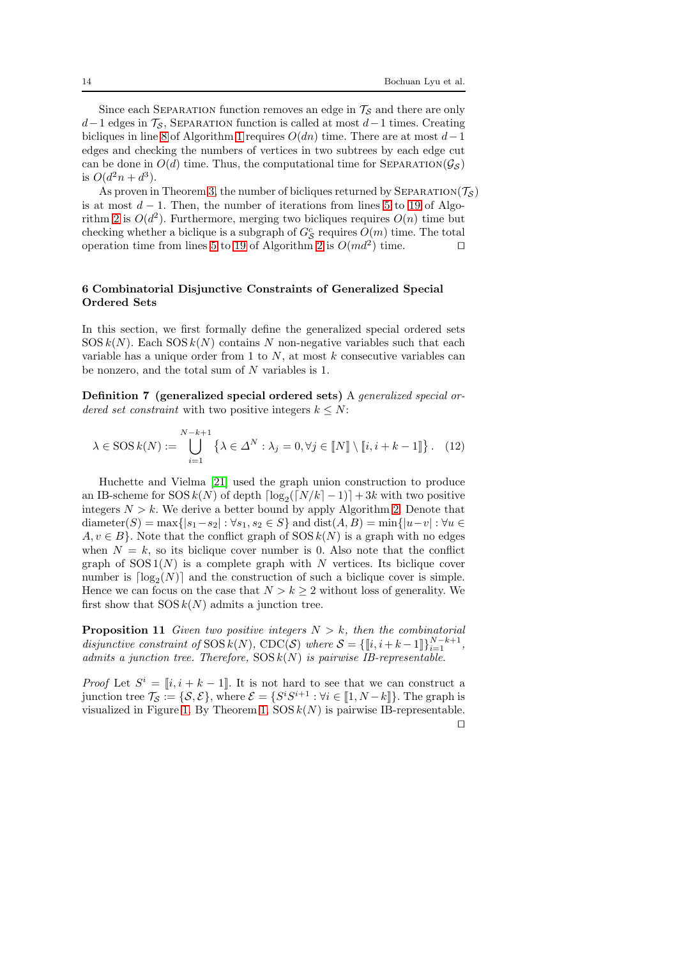Since each SEPARATION function removes an edge in  $\mathcal{T}_{\mathcal{S}}$  and there are only  $d-1$  edges in  $\mathcal{T}_{\mathcal{S}}$ , SEPARATION function is called at most  $d-1$  times. Creating bicliques in line [8](#page-11-1) of Algorithm [1](#page-12-0) requires  $O(dn)$  time. There are at most  $d-1$ edges and checking the numbers of vertices in two subtrees by each edge cut can be done in  $O(d)$  time. Thus, the computational time for SEPARATION( $\mathcal{G}_{\mathcal{S}}$ ) is  $O(d^2n + d^3)$ .

As proven in Theorem [3,](#page-11-1) the number of bicliques returned by SEPARATION( $\mathcal{T}_{\mathcal{S}}$ ) is at most  $d-1$ . Then, the number of iterations from lines [5](#page-12-0) to [19](#page-12-0) of Algo-rithm [2](#page-12-1) is  $O(d^2)$ . Furthermore, merging two bicliques requires  $O(n)$  time but checking whether a biclique is a subgraph of  $G_{\mathcal{S}}^c$  requires  $O(m)$  time. The total operation time from lines [5](#page-12-0) to [19](#page-12-0) of Algorithm [2](#page-12-1) is  $O(md^2)$  time. □

# 6 Combinatorial Disjunctive Constraints of Generalized Special Ordered Sets

In this section, we first formally define the generalized special ordered sets  $SOS k(N)$ . Each  $SOS k(N)$  contains N non-negative variables such that each variable has a unique order from 1 to  $N$ , at most  $k$  consecutive variables can be nonzero, and the total sum of N variables is 1.

Definition 7 (generalized special ordered sets) A *generalized special ordered set constraint* with two positive integers  $k \leq N$ :

$$
\lambda \in \text{SOS } k(N) := \bigcup_{i=1}^{N-k+1} \left\{ \lambda \in \Delta^N : \lambda_j = 0, \forall j \in \llbracket N \rrbracket \setminus \llbracket i, i+k-1 \rrbracket \right\}. \tag{12}
$$

Huchette and Vielma [\[21\]](#page-24-11) used the graph union construction to produce an IB-scheme for  $SOS(k(N))$  of depth  $\lceil \log_2(\lceil N/k \rceil - 1) \rceil + 3k$  with two positive integers  $N > k$ . We derive a better bound by apply Algorithm [2.](#page-12-1) Denote that diameter(S) = max{ $|s_1 - s_2|$ :  $\forall s_1, s_2 \in S$ } and dist $(A, B)$  = min{ $|u - v|$ :  $\forall u \in$  $A, v \in B$ . Note that the conflict graph of  $SOS k(N)$  is a graph with no edges when  $N = k$ , so its biclique cover number is 0. Also note that the conflict graph of  $SOS1(N)$  is a complete graph with N vertices. Its biclique cover number is  $\lceil \log_2(N) \rceil$  and the construction of such a biclique cover is simple. Hence we can focus on the case that  $N > k \geq 2$  without loss of generality. We first show that  $SOS k(N)$  admits a junction tree.

<span id="page-13-0"></span>**Proposition 11** *Given two positive integers*  $N > k$ *, then the combinatorial disjunctive constraint of*  $SOS k(N)$ ,  $CDC(S)$  *where*  $S = \{\llbracket i, i + k - 1 \rrbracket\}_{i=1}^{N-k+1}$ , *admits a junction tree. Therefore,* SOS k(N) *is pairwise IB-representable.*

*Proof* Let  $S^i = [i, i + k - 1]$ . It is not hard to see that we can construct a junction tree  $\mathcal{T}_{\mathcal{S}} := \{\mathcal{S}, \mathcal{E}\},\,$  where  $\mathcal{E} = \{S^i S^{i+1} : \forall i \in [\![1, N-k]\!] \}.$  The graph is visualized in Figure [1.](#page-14-0) By Theorem [1,](#page-6-1)  $SOS k(N)$  is pairwise IB-representable. ⊓⊔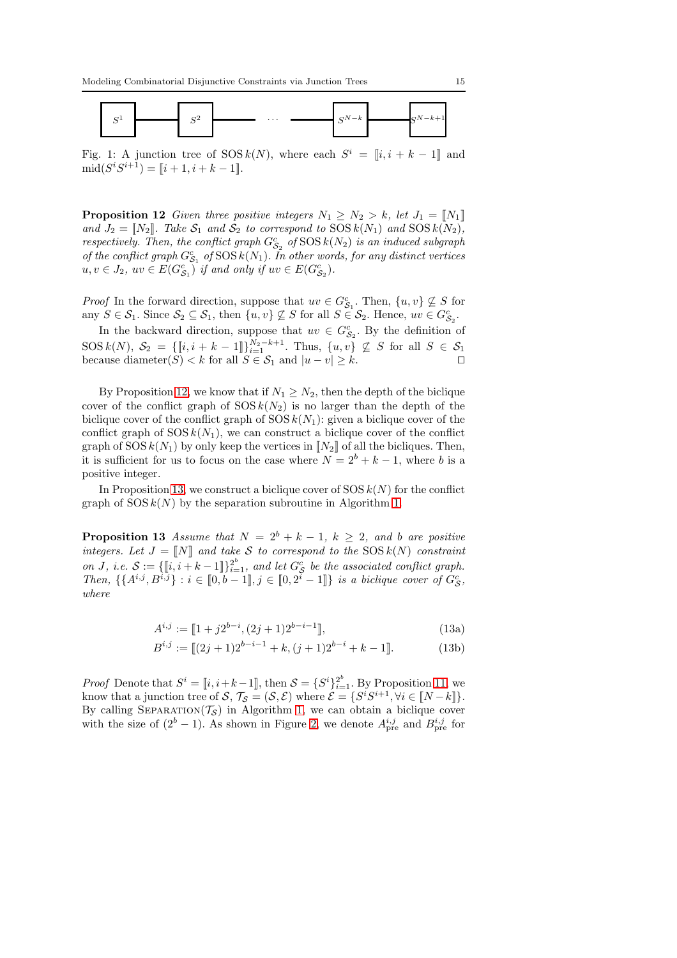<span id="page-14-0"></span>

Fig. 1: A junction tree of  $SOS k(N)$ , where each  $S^i = [i, i + k - 1]$  and  $\text{mid}(S^iS^{i+1}) = [i+1, i+k-1].$ 

<span id="page-14-1"></span>**Proposition 12** *Given three positive integers*  $N_1 \geq N_2 > k$ *, let*  $J_1 = \llbracket N_1 \rrbracket$ and  $J_2 = N_2$ . Take  $S_1$  and  $S_2$  to correspond to  $SOSk(N_1)$  and  $SOSk(N_2)$ , *respectively. Then, the conflict graph*  $G_{S_2}^c$  of  $\text{SOS } k(N_2)$  *is an induced subgraph of the conflict graph*  $G_{S_1}^c$  *of*  $SOS k(N_1)$ *. In other words, for any distinct vertices*  $u, v \in J_2$ ,  $uv \in E(G_{S_1}^c)$  *if and only if*  $uv \in E(G_{S_2}^c)$ *.* 

*Proof* In the forward direction, suppose that  $uv \in G_{S_1}^c$ . Then,  $\{u, v\} \nsubseteq S$  for any  $S \in \mathcal{S}_1$ . Since  $\mathcal{S}_2 \subseteq \mathcal{S}_1$ , then  $\{u, v\} \not\subseteq S$  for all  $S \in \mathcal{S}_2$ . Hence,  $uv \in G_{\mathcal{S}_2}^c$ .

In the backward direction, suppose that  $uv \in G_{S_2}^c$ . By the definition of  $SOS\,k(N),\,S_2\,=\,\{[\![i,i+k-1]\!] \}_{i=1}^{N_2-k+1}$ . Thus,  $\{u,v\}\nsubseteq S$  for all  $S\,\in\,\mathcal{S}_1$ because diameter(S) < k for all  $S \in \mathcal{S}_1$  and  $|u - v| > k$ . □

By Proposition [12,](#page-14-1) we know that if  $N_1 \geq N_2$ , then the depth of the biclique cover of the conflict graph of  $SOSk(N_2)$  is no larger than the depth of the biclique cover of the conflict graph of  $SOS k(N_1)$ : given a biclique cover of the conflict graph of  $SOS k(N_1)$ , we can construct a biclique cover of the conflict graph of SOS  $k(N_1)$  by only keep the vertices in  $\llbracket N_2 \rrbracket$  of all the bicliques. Then, it is sufficient for us to focus on the case where  $N = 2^b + k - 1$ , where b is a positive integer.

<span id="page-14-2"></span>In Proposition [13,](#page-14-2) we construct a biclique cover of  $SOS k(N)$  for the conflict graph of  $SOS k(N)$  by the separation subroutine in Algorithm [1.](#page-12-0)

**Proposition 13** *Assume that*  $N = 2^b + k - 1$ ,  $k \geq 2$ , and b are positive *integers. Let*  $J = \llbracket N \rrbracket$  *and take* S *to correspond to the* SOS  $k(N)$  *constraint on J*, *i.e.*  $S := \{\llbracket i, i + k - 1 \rrbracket\}_{i=1}^{2^b}$ , and let  $G_S^c$  be the associated conflict graph. *Then,*  $\{\{A^{i,j}, B^{i,j}\} : i \in [0, b-1], j \in [0, 2^i-1]\}$  *is a biclique cover of*  $G_S^c$ , *where*

$$
A^{i,j} := [1 + j2^{b-i}, (2j+1)2^{b-i-1}], \tag{13a}
$$

$$
B^{i,j} := [(2j+1)2^{b-i-1} + k, (j+1)2^{b-i} + k - 1].
$$
 (13b)

*Proof* Denote that  $S^i = [i, i+k-1]$ , then  $S = \{S^i\}_{i=1}^{2^b}$ . By Proposition [11,](#page-13-0) we know that a junction tree of  $S, \mathcal{T}_{\mathcal{S}} = (\mathcal{S}, \mathcal{E})$  where  $\mathcal{E} = \{S^i S^{i+1}, \forall i \in [N-k]\}.$ By calling SEPARATION( $\mathcal{T}_{\mathcal{S}}$ ) in Algorithm [1,](#page-12-0) we can obtain a biclique cover with the size of  $(2^b - 1)$ . As shown in Figure [2,](#page-15-0) we denote  $A_{\text{pre}}^{i,j}$  and  $B_{\text{pre}}^{i,j}$  for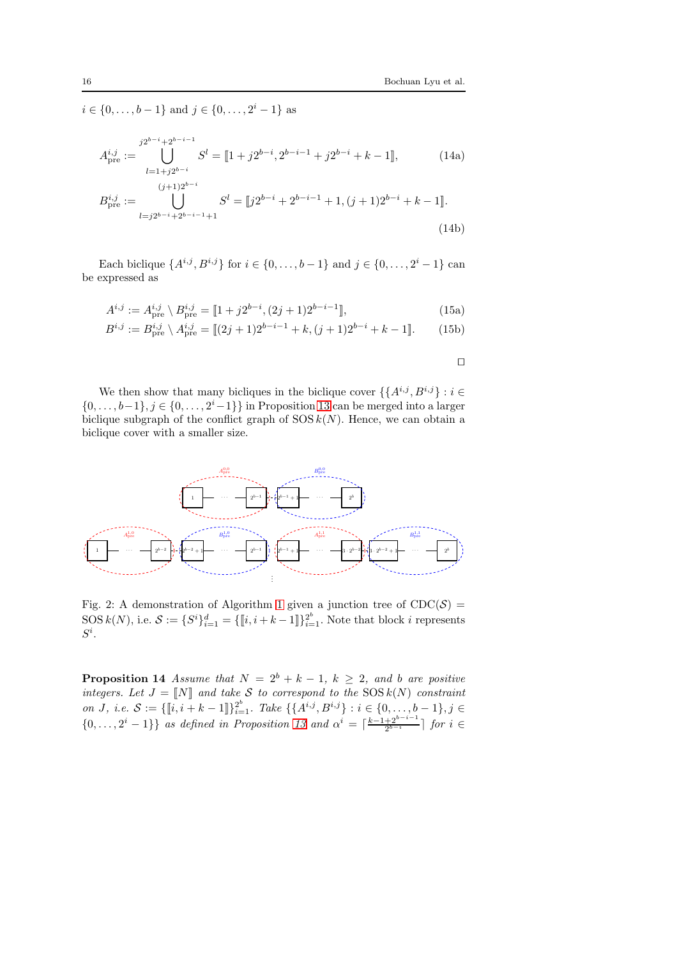$i \in \{0, \ldots, b-1\}$  and  $j \in \{0, \ldots, 2^i-1\}$  as

$$
A_{\text{pre}}^{i,j} := \bigcup_{l=1+j2^{b-i}}^{j2^{b-i}+2^{b-i-1}} S^l = [\![1+j2^{b-i}, 2^{b-i-1}+j2^{b-i}+k-1]\!],\tag{14a}
$$

$$
B_{\text{pre}}^{i,j} := \bigcup_{l=j2^{b-i}+2^{b-i-1}+1}^{(j+1)2^{b-i}} S^l = [j2^{b-i}+2^{b-i-1}+1, (j+1)2^{b-i}+k-1].
$$
\n(14b)

Each biclique  $\{A^{i,j}, B^{i,j}\}\$  for  $i \in \{0, ..., b-1\}$  and  $j \in \{0, ..., 2^i-1\}$  can be expressed as

$$
A^{i,j} := A_{\text{pre}}^{i,j} \setminus B_{\text{pre}}^{i,j} = [1 + j2^{b-i}, (2j+1)2^{b-i-1}], \tag{15a}
$$

$$
B^{i,j} := B_{\text{pre}}^{i,j} \setminus A_{\text{pre}}^{i,j} = [[2j+1)2^{b-i-1} + k, (j+1)2^{b-i} + k - 1].
$$
 (15b)

⊓⊔

We then show that many bicliques in the biclique cover  $\{\{A^{i,j}, B^{i,j}\} : i \in$  $\{0, \ldots, b-1\}, j \in \{0, \ldots, 2^i-1\}\}\$ in Proposition [13](#page-14-2) can be merged into a larger biclique subgraph of the conflict graph of  $SOS k(N)$ . Hence, we can obtain a biclique cover with a smaller size.

<span id="page-15-0"></span>

Fig. 2: A demonstration of Algorithm [1](#page-12-0) given a junction tree of  $CDC(S)$  =  $\text{SOS } k(N)$ , i.e.  $\mathcal{S} := \{ S^i \}_{i=1}^d = \{ \llbracket i, i+k-1 \rrbracket \}_{i=1}^{2^b}$ . Note that block i represents  $S^i.$ 

<span id="page-15-1"></span>**Proposition 14** *Assume that*  $N = 2^b + k - 1$ ,  $k \ge 2$ , and b are positive *integers. Let*  $J = \llbracket N \rrbracket$  *and take* S *to correspond to the* SOS  $k(N)$  *constraint on J*, *i.e.*  $S := \{\llbracket i, i + k - 1 \rrbracket\}_{i=1}^{2^b}$ . Take  $\{\{A^{i,j}, B^{i,j}\} : i \in \{0, ..., b - 1\}, j \in$  $\{0,\ldots,2^{i}-1\}\}\$  *as defined in Proposition* [13](#page-14-2) and  $\alpha^{i} = \lceil \frac{k-1+2^{b-i-1}}{2^{b-i}} \rceil$  for  $i \in \mathbb{Z}$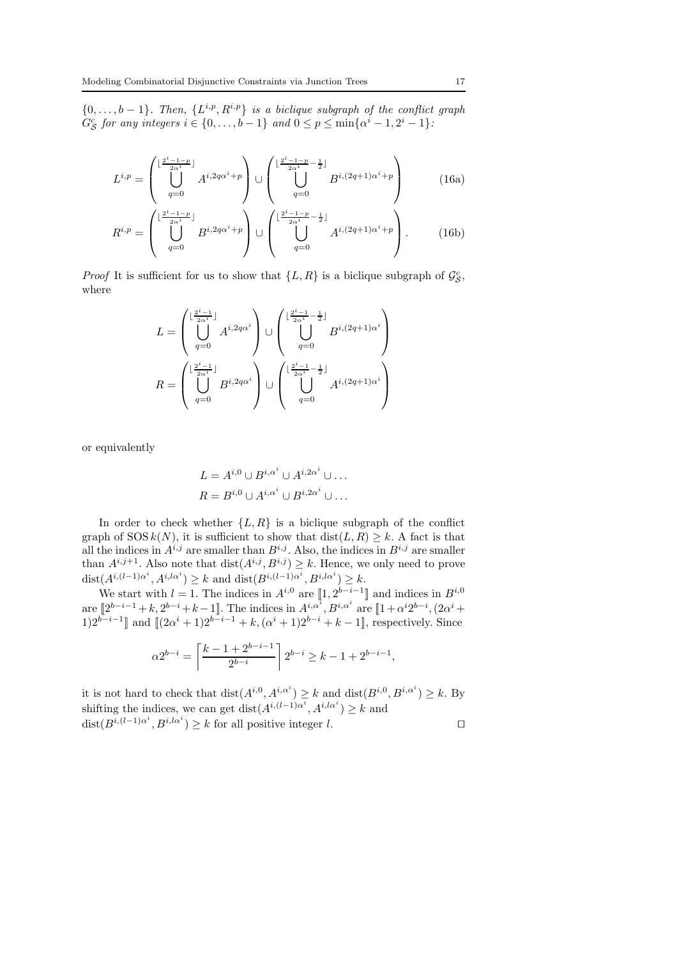$q=0$ 

 $\{0, \ldots, b-1\}$ . Then,  $\{L^{i,p}, R^{i,p}\}$  *is a biclique subgraph of the conflict graph*  $G_{\mathcal{S}}^{c}$  for any integers  $i \in \{0, \ldots, b-1\}$  and  $0 \leq p \leq \min\{\alpha^{i} - 1, 2^{i} - 1\}$ :

$$
L^{i,p} = \begin{pmatrix} \lfloor \frac{2^{i}-1-p}{2\alpha^{i}} \rfloor & & & \\ \bigcup_{q=0}^{i} A^{i,2q\alpha^{i}+p} & & \bigcup_{q=0}^{i} \left( \bigcup_{q=0}^{\lfloor \frac{2^{i}-1-p}{2\alpha^{i}} - \frac{1}{2} \rfloor} B^{i,(2q+1)\alpha^{i}+p} \right) & & (16a) \\ & & & \\ R^{i,p} = \begin{pmatrix} \lfloor \frac{2^{i}-1-p}{2\alpha^{i}} \rfloor & & \\ \bigcup_{q=0}^{i} B^{i,2q\alpha^{i}+p} \end{pmatrix} \cup \begin{pmatrix} \lfloor \frac{2^{i}-1-p}{2\alpha^{i}} - \frac{1}{2} \rfloor & & \\ \bigcup_{q=0}^{i} A^{i,(2q+1)\alpha^{i}+p} \end{pmatrix} . \qquad (16b)
$$

 $q=0$ 

*Proof* It is sufficient for us to show that  $\{L, R\}$  is a biclique subgraph of  $\mathcal{G}_{\mathcal{S}}^c$ , where

$$
L = \begin{pmatrix} \lfloor \frac{2^i - 1}{2\alpha^i} \rfloor \\ \bigcup_{q=0}^{d=0} A^{i,2q\alpha^i} \end{pmatrix} \cup \begin{pmatrix} \lfloor \frac{2^i - 1}{2\alpha^i} - \frac{1}{2} \rfloor \\ \bigcup_{q=0}^{d=0} B^{i,(2q+1)\alpha^i} \end{pmatrix}
$$

$$
R = \begin{pmatrix} \lfloor \frac{2^i - 1}{2\alpha^i} \rfloor \\ \bigcup_{q=0}^{d=0} B^{i,2q\alpha^i} \end{pmatrix} \cup \begin{pmatrix} \lfloor \frac{2^i - 1}{2\alpha^i} - \frac{1}{2} \rfloor \\ \bigcup_{q=0}^{d=0} A^{i,(2q+1)\alpha^i} \end{pmatrix}
$$

or equivalently

$$
L = A^{i,0} \cup B^{i,\alpha^i} \cup A^{i,2\alpha^i} \cup \dots
$$
  

$$
R = B^{i,0} \cup A^{i,\alpha^i} \cup B^{i,2\alpha^i} \cup \dots
$$

In order to check whether  $\{L, R\}$  is a biclique subgraph of the conflict graph of  $SOS k(N)$ , it is sufficient to show that  $dist(L, R) \geq k$ . A fact is that all the indices in  $A^{i,j}$  are smaller than  $B^{i,j}$ . Also, the indices in  $B^{i,j}$  are smaller than  $A^{i,j+1}$ . Also note that  $dist(A^{i,j}, B^{i,j}) \geq k$ . Hence, we only need to prove  $dist(A^{i,(l-1)\alpha^i}, A^{i,l\alpha^i}) \geq k$  and  $dist(B^{i,(l-1)\alpha^i}, B^{i,l\alpha^i}) \geq k$ .

We start with  $l = 1$ . The indices in  $A^{i,0}$  are  $\llbracket 1, 2^{b-i-1} \rrbracket$  and indices in  $B^{i,0}$ are  $[2^{b-i-1}+k, 2^{b-i}+k-1]$ . The indices in  $A^{i,\alpha^i}, B^{i,\alpha^i}$  are  $[1+\alpha^i 2^{b-i}, (2\alpha^i +$ 1)2<sup>b−i−1</sup>] and  $[(2\alpha^i + 1)2^{b-i-1} + k, (\alpha^i + 1)2^{b-i} + k - 1]$ , respectively. Since

$$
\alpha 2^{b-i} = \left\lceil \frac{k-1+2^{b-i-1}}{2^{b-i}} \right\rceil 2^{b-i} \ge k - 1 + 2^{b-i-1},
$$

<span id="page-16-0"></span>it is not hard to check that  $dist(A^{i,0}, A^{i,\alpha^i}) \geq k$  and  $dist(B^{i,0}, B^{i,\alpha^i}) \geq k$ . By shifting the indices, we can get  $dist(A^{i,(l-1)\alpha^i}, A^{i,l\alpha^i}) \geq k$  and  $dist(B^{i,(l-1)\alpha^i}, B^{i,l\alpha^i}) \geq k$  for all positive integer l. □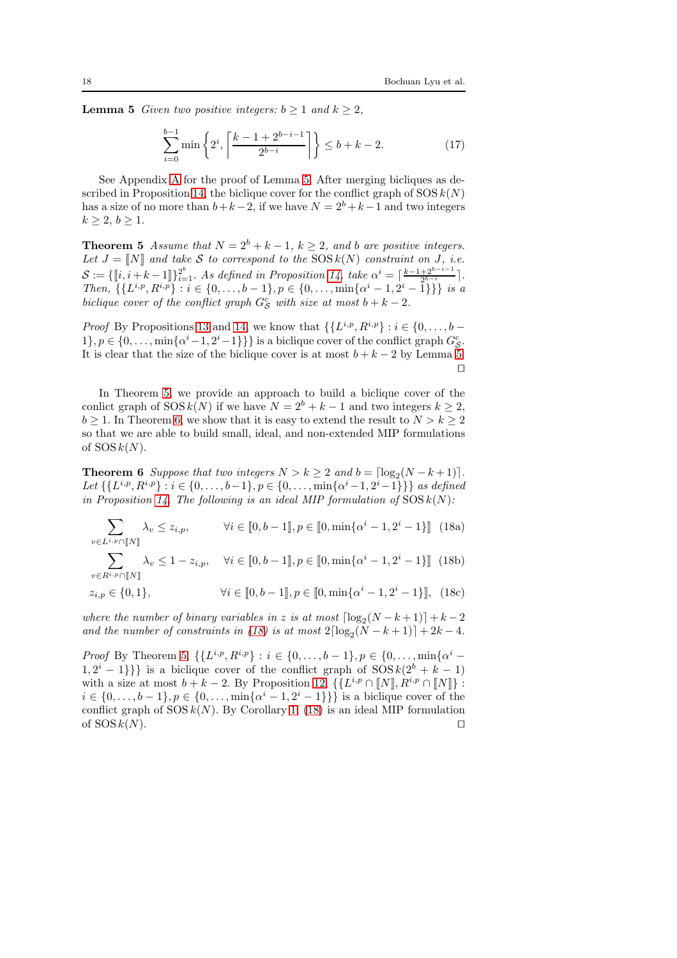**Lemma 5** *Given two positive integers:*  $b \geq 1$  *and*  $k \geq 2$ *,* 

$$
\sum_{i=0}^{b-1} \min\left\{2^i, \left\lceil \frac{k-1+2^{b-i-1}}{2^{b-i}} \right\rceil \right\} \le b + k - 2. \tag{17}
$$

See Appendix [A](#page-26-0) for the proof of Lemma [5.](#page-16-0) After merging bicliques as de-scribed in Proposition [14,](#page-15-1) the biclique cover for the conflict graph of  $SOS k(N)$ has a size of no more than  $b+k-2$ , if we have  $N = 2<sup>b</sup> + k-1$  and two integers  $k \geq 2, b \geq 1.$ 

<span id="page-17-0"></span>**Theorem 5** *Assume that*  $N = 2^b + k - 1$ ,  $k > 2$ , and b are positive integers. Let  $J = [N]$  and take S to correspond to the  $SOS k(N)$  constraint on J, i.e.  $\mathcal{S} := \{\llbracket i, i+k-1 \rrbracket\}_{i=1}^{2^b}$ . As defined in Proposition [14,](#page-15-1) take  $\alpha^i = \lceil \frac{k-1+2^{b-i-1}}{2^{b-i}} \rceil$ . *Then,*  $\{\{L^{i,p}, R^{i,p}\}: i \in \{0, \ldots, b-1\}, p \in \{0, \ldots, \min\{\alpha^i-1, 2^i-1\}\}\}\$  *is a biclique cover of the conflict graph*  $G_S^c$  *with size at most*  $b + k - 2$ *.* 

*Proof* By Propositions [13](#page-14-2) and [14,](#page-15-1) we know that  $\{\{L^{i,p}, R^{i,p}\} : i \in \{0, \ldots, b - \}$ 1},  $p \in \{0, \ldots, \min\{\alpha^i-1, 2^i-1\}\}\}\$ is a biclique cover of the conflict graph  $G_{\mathcal{S}}^c$ . It is clear that the size of the biclique cover is at most  $b + k - 2$  by Lemma [5.](#page-16-0) ⊓⊔

In Theorem [5,](#page-17-0) we provide an approach to build a biclique cover of the conlict graph of  $SOS k(N)$  if we have  $N = 2^b + k - 1$  and two integers  $k \geq 2$ ,  $b \geq 1$ . In Theorem [6,](#page-17-1) we show that it is easy to extend the result to  $N > k \geq 2$ so that we are able to build small, ideal, and non-extended MIP formulations of  $SOSk(N)$ .

<span id="page-17-1"></span>**Theorem 6** *Suppose that two integers*  $N > k \geq 2$  *and*  $b = \lfloor \log_2(N - k + 1) \rfloor$ *.* Let  $\{\{L^{i,p}, R^{i,p}\} : i \in \{0, \ldots, b-1\}, p \in \{0, \ldots, \min\{\alpha^i-1, 2^i-1\}\}\}\$ as defined *in Proposition* [14.](#page-15-1) The following is an ideal MIP formulation of  $SOS k(N)$ :

<span id="page-17-2"></span>
$$
\sum_{v \in L^{i,p} \cap [\![N]\!]} \lambda_v \le z_{i,p}, \qquad \forall i \in [\![0, b-1]\!], p \in [\![0, \min\{\alpha^i - 1, 2^i - 1\}]\!]
$$
 (18a)

 $\sum$  $v\in R^{i,p}\cap\llbracket N\rrbracket$  $\lambda_v \leq 1 - z_{i,p}, \quad \forall i \in [\![0, b-1]\!], p \in [\![0, \min\{\alpha^i - 1, 2^i - 1\}]\!]$  (18b)

$$
z_{i,p} \in \{0,1\}, \qquad \qquad \forall i \in [0,b-1], p \in [0, \min\{\alpha^i - 1, 2^i - 1\}], \tag{18c}
$$

*where the number of binary variables in* z *is at most*  $\lceil \log_2(N - k + 1) \rceil + k - 2$ *and the number of constraints in* [\(18\)](#page-17-2) *is at most*  $2\lceil \log_2(N - k + 1) \rceil + 2k - 4$ *.* 

*Proof* By Theorem [5,](#page-17-0)  $\{L^{i,p}, R^{i,p}\} : i \in \{0, \ldots, b-1\}, p \in \{0, \ldots, \min\{\alpha^i-1\}\}$  $\{1, 2^{i} - 1\}$  is a biclique cover of the conflict graph of  $SOS k(2^{b} + k - 1)$ with a size at most  $b + k - 2$ . By Proposition [12,](#page-14-1)  $\{L^{i,p} \cap [N], R^{i,p} \cap [N]\}$ :  $i \in \{0, \ldots, b-1\}, p \in \{0, \ldots, \min\{\alpha^{i-1}, 2^{i-1}\}\}\$  is a biclique cover of the conflict graph of  $SOS k(N)$ . By Corollary [1,](#page-6-4) [\(18\)](#page-17-2) is an ideal MIP formulation of SOS  $k(N)$ . □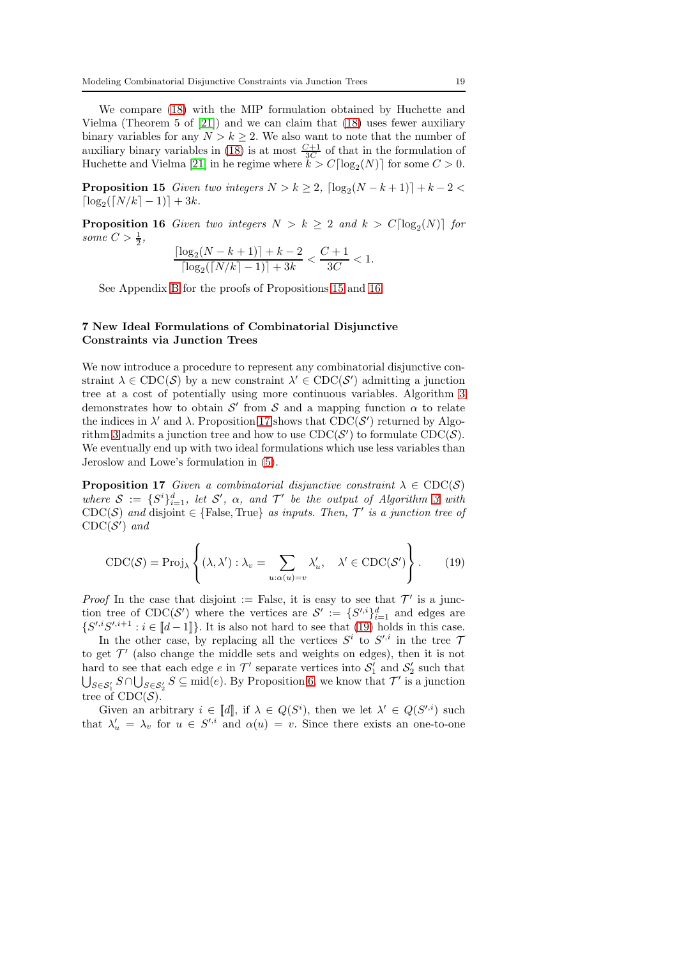We compare [\(18\)](#page-17-2) with the MIP formulation obtained by Huchette and Vielma (Theorem 5 of [\[21\]](#page-24-11)) and we can claim that [\(18\)](#page-17-2) uses fewer auxiliary binary variables for any  $N > k \geq 2$ . We also want to note that the number of auxiliary binary variables in [\(18\)](#page-17-2) is at most  $\frac{C+1}{3C}$  of that in the formulation of Huchette and Vielma [\[21\]](#page-24-11) in he regime where  $k > C \lceil \log_2(N) \rceil$  for some  $C > 0$ .

<span id="page-18-0"></span>**Proposition 15** *Given two integers*  $N > k \geq 2$ ,  $\lceil \log_2(N - k + 1) \rceil + k - 2 <$  $\lceil \log_2(\lceil N/k \rceil - 1) \rceil + 3k.$ 

<span id="page-18-1"></span>**Proposition 16** Given two integers  $N > k \geq 2$  and  $k > C \lceil \log_2(N) \rceil$  for some  $C > \frac{1}{2}$ ,

$$
\frac{\lceil \log_2(N-k+1) \rceil + k - 2}{\lceil \log_2(\lceil N/k \rceil - 1) \rceil + 3k} < \frac{C+1}{3C} < 1.
$$

See Appendix [B](#page-27-0) for the proofs of Propositions [15](#page-18-0) and [16.](#page-18-1)

## 7 New Ideal Formulations of Combinatorial Disjunctive Constraints via Junction Trees

We now introduce a procedure to represent any combinatorial disjunctive constraint  $\lambda \in \text{CDC}(\mathcal{S})$  by a new constraint  $\lambda' \in \text{CDC}(\mathcal{S}')$  admitting a junction tree at a cost of potentially using more continuous variables. Algorithm [3](#page-19-0) demonstrates how to obtain  $\mathcal{S}'$  from  $\mathcal S$  and a mapping function  $\alpha$  to relate the indices in  $\lambda'$  and  $\lambda$ . Proposition [17](#page-18-2) shows that CDC(S') returned by Algo-rithm [3](#page-19-0) admits a junction tree and how to use  $\text{CDC}(\mathcal{S}')$  to formulate  $\text{CDC}(\mathcal{S})$ . We eventually end up with two ideal formulations which use less variables than Jeroslow and Lowe's formulation in [\(5\)](#page-2-1).

<span id="page-18-2"></span>**Proposition 17** *Given a combinatorial disjunctive constraint*  $\lambda \in \text{CDC}(S)$ where  $S := \{S^i\}_{i=1}^d$ , let  $S'$ ,  $\alpha$ , and  $T'$  be the output of Algorithm [3](#page-19-0) with CDC(S) and disjoint  $\in$  {False, True} as inputs. Then,  $\mathcal{T}'$  is a junction tree of  $\text{CDC}(\mathcal{S}')$  and

<span id="page-18-3"></span>
$$
\text{CDC}(\mathcal{S}) = \text{Proj}_{\lambda} \left\{ (\lambda, \lambda') : \lambda_v = \sum_{u : \alpha(u) = v} \lambda'_u, \quad \lambda' \in \text{CDC}(\mathcal{S}') \right\}.
$$
 (19)

*Proof* In the case that disjoint := False, it is easy to see that  $\mathcal{T}'$  is a junction tree of CDC(S') where the vertices are  $S' := \{S'^{i}\}_{i=1}^{d}$  and edges are  $\{S',iS',i+1 : i \in [d-1]\}.$  It is also not hard to see that [\(19\)](#page-18-3) holds in this case.

In the other case, by replacing all the vertices  $S^i$  to  $S'^{i}$  in the tree 7 to get  $\mathcal{T}'$  (also change the middle sets and weights on edges), then it is not hard to see that each edge  $e$  in  $\mathcal{T}'$  separate vertices into  $\mathcal{S}'_1$  and  $\mathcal{S}'_2$  such that  $\bigcup_{S \in S'_1} S \cap \bigcup_{S \in S'_2} S \subseteq \text{mid}(e)$ . By Proposition [6,](#page-9-1) we know that  $\mathcal{T}'$  is a junction tree of  $\text{CDC}(\mathcal{S})$ .

Given an arbitrary  $i \in [d]$ , if  $\lambda \in Q(S^i)$ , then we let  $\lambda' \in Q(S'^{i})$  such that  $\lambda'_u = \lambda_v$  for  $u \in S'^{i}$  and  $\alpha(u) = v$ . Since there exists an one-to-one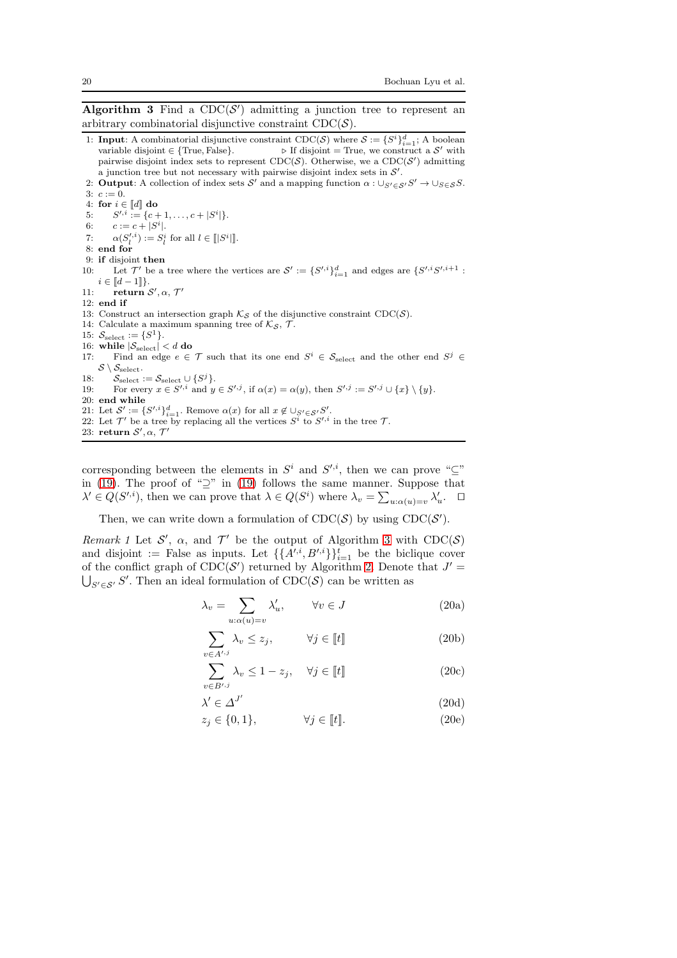<span id="page-19-0"></span>Algorithm 3 Find a  $CDC(S')$  admitting a junction tree to represent an arbitrary combinatorial disjunctive constraint  $\text{CDC}(\mathcal{S})$ .

- 1: **Input**: A combinatorial disjunctive constraint CDC(S) where  $S := \{S^i\}_{i=1}^d$ ; A boolean variable disjoint  $\in$  {True, False}.  $\triangleright$  If disjoint = True, we construct a S' with pairwise disjoint index sets to represent CDC(S). Otherwise, we a CDC(S') admitting a junction tree but not necessary with pairwise disjoint index sets in  $\mathcal{S}'$ .
- 2: **Output**: A collection of index sets S' and a mapping function  $\alpha : \bigcup_{S' \in \mathcal{S}} S' \to \bigcup_{S \in \mathcal{S}} S$ .  $3: c := 0.$
- 4: for  $i \in \llbracket d \rrbracket$  do

5:  $S'$ ,  $i := \{c+1, \ldots, c+|S^i|\}.$ 

- 6:  $c := c + |S^i|.$
- 7:  $\alpha(S_l^{\prime,i}) := S_l^i$  for all  $l \in [S^i]$ .
- 8: end for
- 9: if disjoint then

10: Let  $\mathcal{T}'$  be a tree where the vertices are  $\mathcal{S}' := \{S'^{,i}\}_{i=1}^d$  and edges are  $\{S'^{,i}S'^{,i+1} :$  $i \in [\![d-1]\!] \}.$ 

- 11: return  $\mathcal{S}', \alpha, \mathcal{T}'$
- 12: end if
- 13: Construct an intersection graph  $\mathcal{K}_{\mathcal{S}}$  of the disjunctive constraint CDC( $\mathcal{S}$ ).
- 14: Calculate a maximum spanning tree of  $\mathcal{K}_{\mathcal{S}}$ ,  $\mathcal{T}$ .
- 15:  $S_{\text{select}} := \{S^1\}.$
- 16: while  $|\mathcal{S}_{select}| < d$  do 17: Find an edge  $e \in$
- 17: Find an edge  $e \in \mathcal{T}$  such that its one end  $S^i \in \mathcal{S}_{select}$  and the other end  $S^j \in$  $S \setminus S_{\mathrm{select}}$ .
- 18:  $S_{\text{select}} := S_{\text{select}} \cup \{S^j\}.$
- 19: For every  $x \in S^{i,i}$  and  $y \in S^{i,j}$ , if  $\alpha(x) = \alpha(y)$ , then  $S^{i,j} := S^{i,j} \cup \{x\} \setminus \{y\}.$
- 20: end while
- 21: Let  $\mathcal{S}' := \{S'^{i}\}_{i=1}^{d}$ . Remove  $\alpha(x)$  for all  $x \notin \bigcup_{S' \in \mathcal{S}'} S'$ .
- 22: Let  $\mathcal{T}'$  be a tree by replacing all the vertices  $S^{\tilde{i}}$  to  $S'^{i}$  in the tree  $\mathcal{T}$ .
- 23: return  $S', \alpha, \mathcal{T}'$

corresponding between the elements in  $S^i$  and  $S'^{i}$ , then we can prove " $\subseteq$ " in [\(19\)](#page-18-3). The proof of " $\supseteq$ " in (19) follows the same manner. Suppose that  $\lambda' \in Q(S^{\prime,i})$ , then we can prove that  $\lambda \in Q(S^i)$  where  $\lambda_v = \sum_{u:\alpha(u)=v} \lambda'_u$ .  $\Box$ 

<span id="page-19-3"></span>Then, we can write down a formulation of  $\text{CDC}(\mathcal{S})$  by using  $\text{CDC}(\mathcal{S}')$ .

*Remark 1* Let  $\mathcal{S}'$ ,  $\alpha$ , and  $\mathcal{T}'$  be the output of Algorithm [3](#page-19-0) with CDC( $\mathcal{S}$ ) and disjoint := False as inputs. Let  $\{\{A^{i,i}, B^{i,i}\}\}_{i=1}^t$  be the biclique cover of the conflict graph of  $\text{CDC}(\mathcal{S}')$  returned by Algorithm [2.](#page-12-1) Denote that  $J' =$  $\bigcup_{S' \in \mathcal{S}'} S'$ . Then an ideal formulation of CDC( $\mathcal{S}$ ) can be written as

<span id="page-19-2"></span><span id="page-19-1"></span>
$$
\lambda_v = \sum_{u:\alpha(u)=v} \lambda'_u, \qquad \forall v \in J \tag{20a}
$$

$$
\sum_{v \in A^{\prime}, j} \lambda_v \le z_j, \qquad \forall j \in [\![t]\!]
$$
\n(20b)

$$
\sum_{v \in B', j} \lambda_v \le 1 - z_j, \quad \forall j \in [\![t]\!]
$$
\n(20c)

$$
\lambda' \in \Delta^{J'} \tag{20d}
$$

$$
z_j \in \{0, 1\}, \qquad \forall j \in [\![t]\!]. \tag{20e}
$$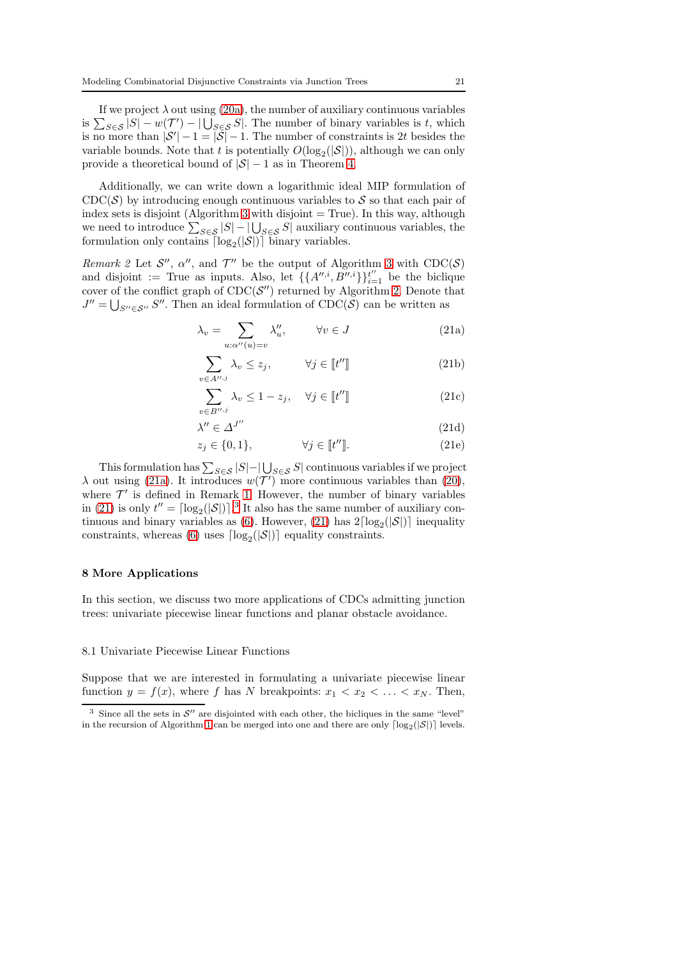If we project  $\lambda$  out using [\(20a\)](#page-19-1), the number of auxiliary continuous variables is  $\sum_{S \in \mathcal{S}} |S| - w(\mathcal{T}') - |\bigcup_{S \in \mathcal{S}} S|$ . The number of binary variables is t, which is no more than  $|\mathcal{S}'| - 1 = |\mathcal{S}| - 1$ . The number of constraints is 2t besides the variable bounds. Note that t is potentially  $O(\log_2(|\mathcal{S}|))$ , although we can only provide a theoretical bound of  $|\mathcal{S}| - 1$  as in Theorem [4.](#page-12-2)

Additionally, we can write down a logarithmic ideal MIP formulation of  $\text{CDC}(\mathcal{S})$  by introducing enough continuous variables to S so that each pair of index sets is disjoint (Algorithm [3](#page-19-0) with disjoint  $=$  True). In this way, although we need to introduce  $\sum_{S \in \mathcal{S}} |S| - |\bigcup_{S \in \mathcal{S}} S|$  auxiliary continuous variables, the formulation only contains  $\lceil \log_2(|\mathcal{S}|) \rceil$  binary variables.

<span id="page-20-3"></span>*Remark 2* Let  $\mathcal{S}'$ ,  $\alpha''$ , and  $\mathcal{T}''$  be the output of Algorithm [3](#page-19-0) with CDC( $\mathcal{S}$ ) and disjoint := True as inputs. Also, let  $\{\{A''^{i}, B''^{i}\}\}_{i=1}^{t''}$  be the biclique cover of the conflict graph of  $\text{CDC}(\mathcal{S}'')$  returned by Algorithm [2.](#page-12-1) Denote that  $J'' = \bigcup_{S'' \in \mathcal{S}''} S''$ . Then an ideal formulation of CDC(S) can be written as

<span id="page-20-1"></span><span id="page-20-0"></span>
$$
\lambda_v = \sum_{u:\alpha''(u)=v} \lambda_u'', \qquad \forall v \in J \tag{21a}
$$

$$
\sum_{v \in A'', j} \lambda_v \le z_j, \qquad \forall j \in [\![t'']\!]
$$
\n(21b)

$$
\sum_{v \in B'', j} \lambda_v \le 1 - z_j, \quad \forall j \in [t''] \tag{21c}
$$

$$
'' \in \Delta^{J''}
$$
 (21d)

$$
z_j \in \{0, 1\}, \qquad \forall j \in [t''] \tag{21e}
$$

This formulation has  $\sum_{S \in \mathcal{S}} |S| - |\bigcup_{S \in \mathcal{S}} S|$  continuous variables if we project  $\lambda$  out using [\(21a\)](#page-20-0). It introduces  $w(\mathcal{T}')$  more continuous variables than [\(20\)](#page-19-2), where  $\mathcal{T}'$  is defined in Remark [1.](#page-19-3) However, the number of binary variables in [\(21\)](#page-20-1) is only  $t'' = \lceil \log_2(|\mathcal{S}|) \rceil^3$  $t'' = \lceil \log_2(|\mathcal{S}|) \rceil^3$ . It also has the same number of auxiliary con-tinuous and binary variables as [\(6\)](#page-2-2). However, [\(21\)](#page-20-1) has  $2\lceil \log_2(|\mathcal{S}|) \rceil$  inequality constraints, whereas [\(6\)](#page-2-2) uses  $\lceil \log_2(|\mathcal{S}|) \rceil$  equality constraints.

#### 8 More Applications

In this section, we discuss two more applications of CDCs admitting junction trees: univariate piecewise linear functions and planar obstacle avoidance.

#### 8.1 Univariate Piecewise Linear Functions

λ

Suppose that we are interested in formulating a univariate piecewise linear function  $y = f(x)$ , where f has N breakpoints:  $x_1 < x_2 < \ldots < x_N$ . Then,

<span id="page-20-2"></span><sup>&</sup>lt;sup>3</sup> Since all the sets in  $\mathcal{S}''$  are disjointed with each other, the bicliques in the same "level" in the recursion of Algorithm [1](#page-12-0) can be merged into one and there are only  $\lceil \log_2(|\mathcal{S}|) \rceil$  levels.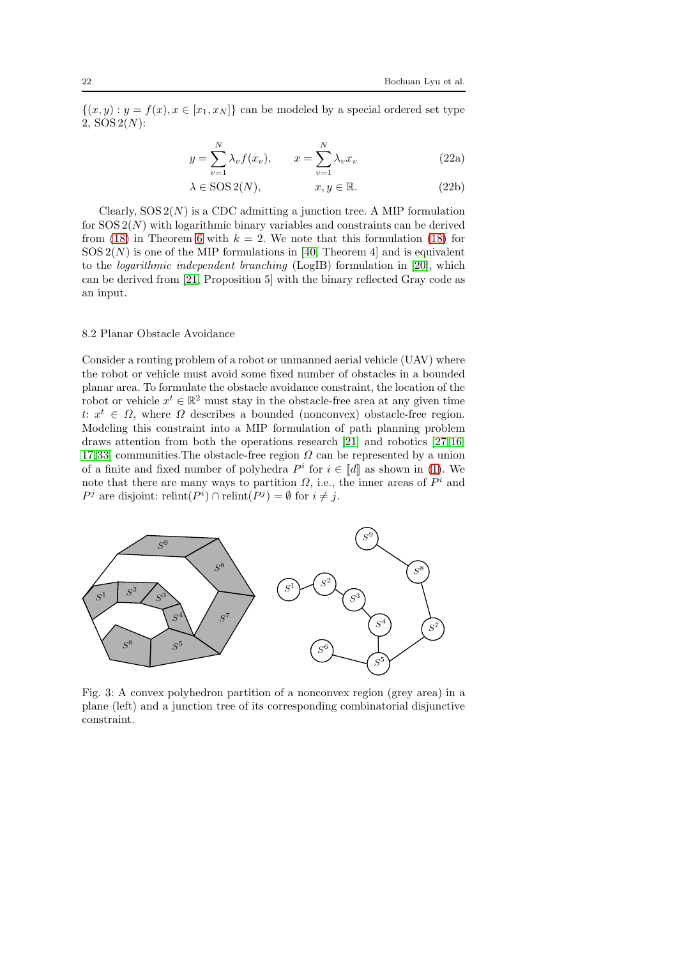$\{(x, y) : y = f(x), x \in [x_1, x_N]\}$  can be modeled by a special ordered set type 2,  $SOS 2(N)$ :

$$
y = \sum_{v=1}^{N} \lambda_v f(x_v), \qquad x = \sum_{v=1}^{N} \lambda_v x_v
$$
 (22a)

$$
\lambda \in \text{SOS 2}(N), \qquad x, y \in \mathbb{R}. \tag{22b}
$$

Clearly,  $SOS 2(N)$  is a CDC admitting a junction tree. A MIP formulation for  $SOS 2(N)$  with logarithmic binary variables and constraints can be derived from [\(18\)](#page-17-2) in Theorem [6](#page-17-1) with  $k = 2$ . We note that this formulation (18) for  $SOS 2(N)$  is one of the MIP formulations in [\[40,](#page-25-7) Theorem 4] and is equivalent to the *logarithmic independent branching* (LogIB) formulation in [\[20\]](#page-24-12), which can be derived from [\[21,](#page-24-11) Proposition 5] with the binary reflected Gray code as an input.

## 8.2 Planar Obstacle Avoidance

Consider a routing problem of a robot or unmanned aerial vehicle (UAV) where the robot or vehicle must avoid some fixed number of obstacles in a bounded planar area. To formulate the obstacle avoidance constraint, the location of the robot or vehicle  $x^t \in \mathbb{R}^2$  must stay in the obstacle-free area at any given time t:  $x^t \in \Omega$ , where  $\Omega$  describes a bounded (nonconvex) obstacle-free region. Modeling this constraint into a MIP formulation of path planning problem draws attention from both the operations research [\[21\]](#page-24-11) and robotics [\[27,](#page-24-22)[16,](#page-24-6) [17,](#page-24-23)[33\]](#page-25-13) communities. The obstacle-free region  $\Omega$  can be represented by a union of a finite and fixed number of polyhedra  $P^i$  for  $i \in [d]$  as shown in [\(1\)](#page-1-2). We note that there are many ways to partition  $\Omega$ , i.e., the inner areas of  $P^i$  and  $P^j$  are disjoint: relint( $P^i$ )  $\cap$  relint( $P^j$ ) =  $\emptyset$  for  $i \neq j$ .

<span id="page-21-0"></span>

Fig. 3: A convex polyhedron partition of a nonconvex region (grey area) in a plane (left) and a junction tree of its corresponding combinatorial disjunctive constraint.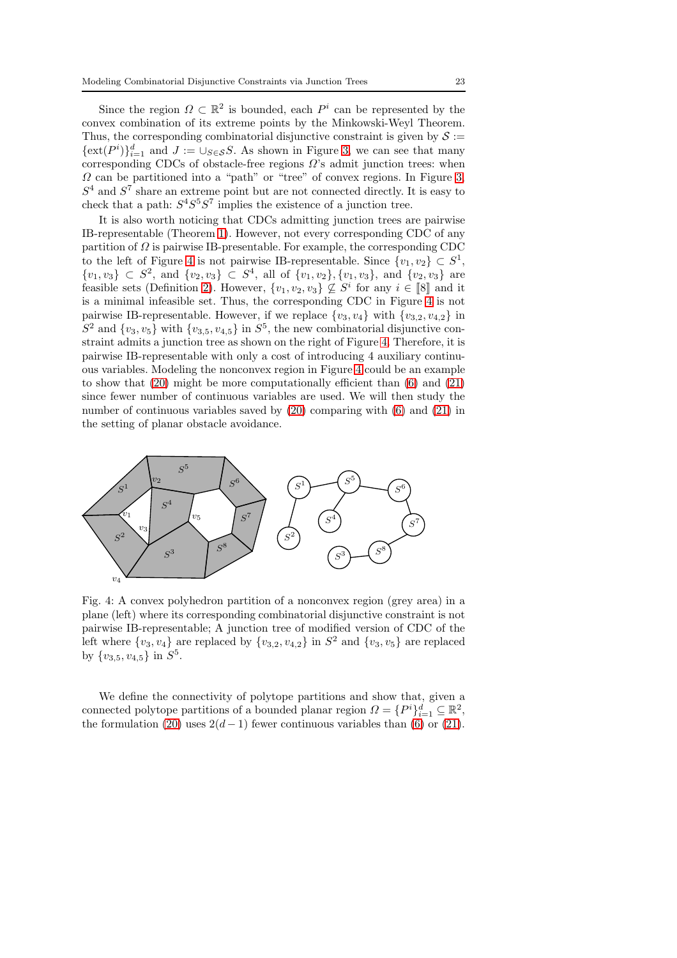Since the region  $\Omega \subset \mathbb{R}^2$  is bounded, each  $P^i$  can be represented by the convex combination of its extreme points by the Minkowski-Weyl Theorem. Thus, the corresponding combinatorial disjunctive constraint is given by  $S :=$  $\{\text{ext}(P^i)\}_{i=1}^d$  and  $J := \bigcup_{S \in \mathcal{S}} S$ . As shown in Figure [3,](#page-21-0) we can see that many corresponding CDCs of obstacle-free regions  $\Omega$ 's admit junction trees: when  $\Omega$  can be partitioned into a "path" or "tree" of convex regions. In Figure [3,](#page-21-0)  $S<sup>4</sup>$  and  $S<sup>7</sup>$  share an extreme point but are not connected directly. It is easy to check that a path:  $S^4S^5S^7$  implies the existence of a junction tree.

It is also worth noticing that CDCs admitting junction trees are pairwise IB-representable (Theorem [1\)](#page-6-1). However, not every corresponding CDC of any partition of  $\Omega$  is pairwise IB-presentable. For example, the corresponding CDC to the left of Figure [4](#page-22-0) is not pairwise IB-representable. Since  $\{v_1, v_2\} \subset S^1$ ,  $\{v_1, v_3\} \subset S^2$ , and  $\{v_2, v_3\} \subset S^4$ , all of  $\{v_1, v_2\}$ ,  $\{v_1, v_3\}$ , and  $\{v_2, v_3\}$  are feasible sets (Definition [2\)](#page-5-3). However,  $\{v_1, v_2, v_3\} \nsubseteq S^i$  for any  $i \in [\![8]\!]$  and it is a minimal infeasible set. Thus, the corresponding CDC in Figure [4](#page-22-0) is not pairwise IB-representable. However, if we replace  $\{v_3, v_4\}$  with  $\{v_{3,2}, v_{4,2}\}$  in  $S^2$  and  $\{v_3, v_5\}$  with  $\{v_{3,5}, v_{4,5}\}$  in  $S^5$ , the new combinatorial disjunctive constraint admits a junction tree as shown on the right of Figure [4.](#page-22-0) Therefore, it is pairwise IB-representable with only a cost of introducing 4 auxiliary continuous variables. Modeling the nonconvex region in Figure [4](#page-22-0) could be an example to show that  $(20)$  might be more computationally efficient than  $(6)$  and  $(21)$ since fewer number of continuous variables are used. We will then study the number of continuous variables saved by [\(20\)](#page-19-2) comparing with [\(6\)](#page-2-2) and [\(21\)](#page-20-1) in the setting of planar obstacle avoidance.

<span id="page-22-0"></span>

Fig. 4: A convex polyhedron partition of a nonconvex region (grey area) in a plane (left) where its corresponding combinatorial disjunctive constraint is not pairwise IB-representable; A junction tree of modified version of CDC of the left where  $\{v_3, v_4\}$  are replaced by  $\{v_{3,2}, v_{4,2}\}$  in  $S^2$  and  $\{v_3, v_5\}$  are replaced by  $\{v_{3,5}, v_{4,5}\}\$  in  $S^5$ .

We define the connectivity of polytope partitions and show that, given a connected polytope partitions of a bounded planar region  $\Omega = \{P^i\}_{i=1}^d \subseteq \mathbb{R}^2$ , the formulation [\(20\)](#page-19-2) uses  $2(d-1)$  fewer continuous variables than [\(6\)](#page-2-2) or [\(21\)](#page-20-1).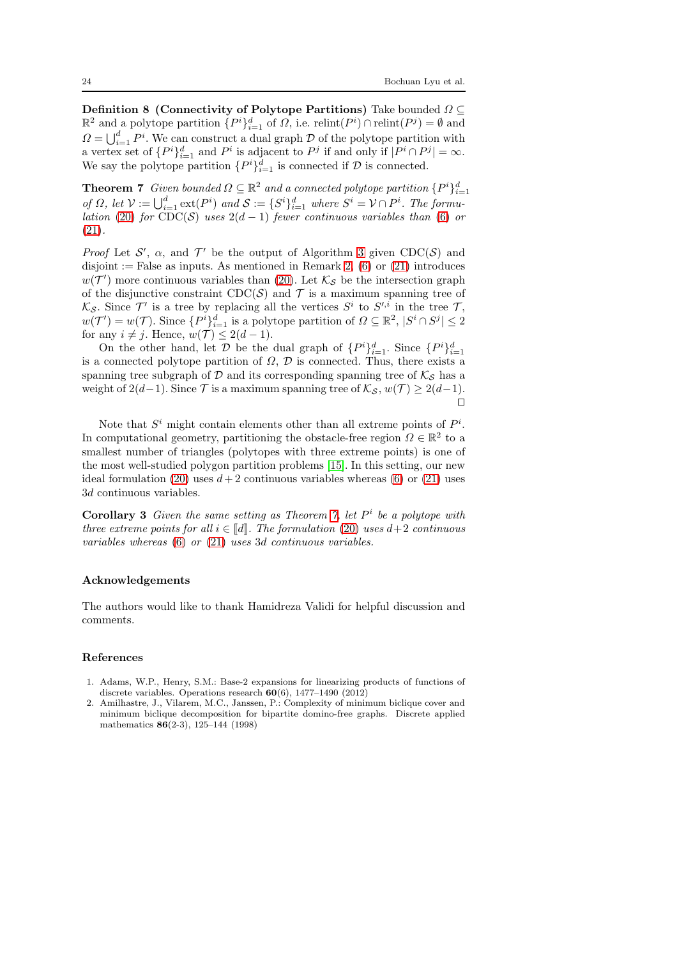Definition 8 (Connectivity of Polytope Partitions) Take bounded  $\Omega \subseteq$  $\mathbb{R}^2$  and a polytope partition  $\{P^i\}_{i=1}^d$  of  $\Omega$ , i.e. relint $(P^i) \cap$  relint $(P^j) = \emptyset$  and  $\Omega = \bigcup_{i=1}^d P^i$ . We can construct a dual graph  $D$  of the polytope partition with a vertex set of  $\{P^i\}_{i=1}^d$  and  $P^i$  is adjacent to  $P^j$  if and only if  $|P^i \cap P^j| = \infty$ . We say the polytope partition  $\{P^i\}_{i=1}^d$  is connected if  $D$  is connected.

<span id="page-23-2"></span>**Theorem 7** *Given bounded*  $\Omega \subseteq \mathbb{R}^2$  *and a connected polytope partition*  $\{P^i\}_{i=1}^d$ *of*  $\Omega$ *, let*  $\mathcal{V} := \bigcup_{i=1}^d \text{ext}(P^i)$  *and*  $\mathcal{S} := \{S^i\}_{i=1}^d$  *where*  $S^i = \mathcal{V} \cap P^i$ *. The formulation* [\(20\)](#page-19-2) *for*  $\text{CDC}(\mathcal{S})$  *uses*  $2(d-1)$  *fewer continuous variables than* [\(6\)](#page-2-2) *or* [\(21\)](#page-20-1)*.*

*Proof* Let  $\mathcal{S}'$ ,  $\alpha$ , and  $\mathcal{T}'$  be the output of Algorithm [3](#page-19-0) given CDC( $\mathcal{S}$ ) and disjoint := False as inputs. As mentioned in Remark [2,](#page-20-3)  $(6)$  or  $(21)$  introduces  $w(\mathcal{T}')$  more continuous variables than [\(20\)](#page-19-2). Let  $\mathcal{K}_{\mathcal{S}}$  be the intersection graph of the disjunctive constraint  $CDC(S)$  and  $\mathcal T$  is a maximum spanning tree of  $\mathcal{K}_{\mathcal{S}}$ . Since  $\mathcal{T}'$  is a tree by replacing all the vertices  $S^i$  to  $S'^{,i}$  in the tree  $\mathcal{T},$  $w(\mathcal{T}') = w(\mathcal{T})$ . Since  $\{P^i\}_{i=1}^d$  is a polytope partition of  $\Omega \subseteq \mathbb{R}^2$ ,  $|S^i \cap S^j| \leq 2$ for any  $i \neq j$ . Hence,  $w(\mathcal{T}) \leq 2(d-1)$ .

On the other hand, let  $\mathcal{D}$  be the dual graph of  $\{P^i\}_{i=1}^d$ . Since  $\{P^i\}_{i=1}^d$ is a connected polytope partition of  $\Omega$ ,  $\mathcal D$  is connected. Thus, there exists a spanning tree subgraph of  $D$  and its corresponding spanning tree of  $K_S$  has a weight of  $2(d-1)$ . Since  $\mathcal T$  is a maximum spanning tree of  $\mathcal K_{\mathcal S}, w(\mathcal T) \geq 2(d-1)$ . ⊓⊔

Note that  $S<sup>i</sup>$  might contain elements other than all extreme points of  $P<sup>i</sup>$ . In computational geometry, partitioning the obstacle-free region  $\Omega \in \mathbb{R}^2$  to a smallest number of triangles (polytopes with three extreme points) is one of the most well-studied polygon partition problems [\[15\]](#page-24-24). In this setting, our new ideal formulation [\(20\)](#page-19-2) uses  $d+2$  continuous variables whereas [\(6\)](#page-2-2) or [\(21\)](#page-20-1) uses 3d continuous variables.

Corollary 3 *Given the same setting as Theorem [7,](#page-23-2) let* P i *be a polytope with three extreme points for all*  $i \in \llbracket d \rrbracket$ *. The formulation* [\(20\)](#page-19-2) *uses*  $d+2$  *continuous variables whereas* [\(6\)](#page-2-2) *or* [\(21\)](#page-20-1) *uses* 3d *continuous variables.*

## Acknowledgements

The authors would like to thank Hamidreza Validi for helpful discussion and comments.

## References

- <span id="page-23-1"></span>1. Adams, W.P., Henry, S.M.: Base-2 expansions for linearizing products of functions of discrete variables. Operations research 60(6), 1477–1490 (2012)
- <span id="page-23-0"></span>2. Amilhastre, J., Vilarem, M.C., Janssen, P.: Complexity of minimum biclique cover and minimum biclique decomposition for bipartite domino-free graphs. Discrete applied mathematics 86(2-3), 125–144 (1998)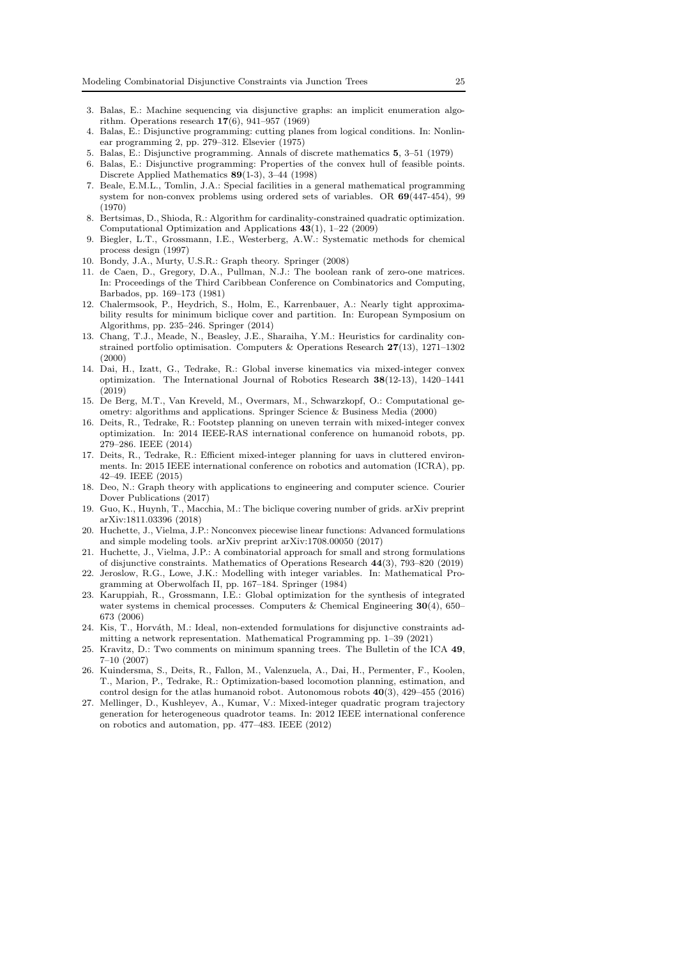- <span id="page-24-10"></span>3. Balas, E.: Machine sequencing via disjunctive graphs: an implicit enumeration algorithm. Operations research 17(6), 941–957 (1969)
- <span id="page-24-0"></span>4. Balas, E.: Disjunctive programming: cutting planes from logical conditions. In: Nonlinear programming 2, pp. 279–312. Elsevier (1975)
- <span id="page-24-2"></span><span id="page-24-1"></span>5. Balas, E.: Disjunctive programming. Annals of discrete mathematics 5, 3–51 (1979)
- 6. Balas, E.: Disjunctive programming: Properties of the convex hull of feasible points. Discrete Applied Mathematics 89(1-3), 3–44 (1998)
- <span id="page-24-17"></span>7. Beale, E.M.L., Tomlin, J.A.: Special facilities in a general mathematical programming system for non-convex problems using ordered sets of variables. OR 69(447-454), 99 (1970)
- <span id="page-24-8"></span>8. Bertsimas, D., Shioda, R.: Algorithm for cardinality-constrained quadratic optimization. Computational Optimization and Applications 43(1), 1–22 (2009)
- <span id="page-24-3"></span>9. Biegler, L.T., Grossmann, I.E., Westerberg, A.W.: Systematic methods for chemical process design (1997)
- <span id="page-24-19"></span><span id="page-24-15"></span>10. Bondy, J.A., Murty, U.S.R.: Graph theory. Springer (2008)
- 11. de Caen, D., Gregory, D.A., Pullman, N.J.: The boolean rank of zero-one matrices. In: Proceedings of the Third Caribbean Conference on Combinatorics and Computing, Barbados, pp. 169–173 (1981)
- <span id="page-24-14"></span>12. Chalermsook, P., Heydrich, S., Holm, E., Karrenbauer, A.: Nearly tight approximability results for minimum biclique cover and partition. In: European Symposium on Algorithms, pp. 235–246. Springer (2014)
- <span id="page-24-9"></span>13. Chang, T.J., Meade, N., Beasley, J.E., Sharaiha, Y.M.: Heuristics for cardinality constrained portfolio optimisation. Computers & Operations Research 27(13), 1271–1302  $(2000)$
- <span id="page-24-5"></span>14. Dai, H., Izatt, G., Tedrake, R.: Global inverse kinematics via mixed-integer convex optimization. The International Journal of Robotics Research 38(12-13), 1420–1441 (2019)
- <span id="page-24-24"></span>15. De Berg, M.T., Van Kreveld, M., Overmars, M., Schwarzkopf, O.: Computational geometry: algorithms and applications. Springer Science & Business Media (2000)
- <span id="page-24-6"></span>16. Deits, R., Tedrake, R.: Footstep planning on uneven terrain with mixed-integer convex optimization. In: 2014 IEEE-RAS international conference on humanoid robots, pp. 279–286. IEEE (2014)
- <span id="page-24-23"></span>17. Deits, R., Tedrake, R.: Efficient mixed-integer planning for uavs in cluttered environments. In: 2015 IEEE international conference on robotics and automation (ICRA), pp. 42–49. IEEE (2015)
- <span id="page-24-20"></span>18. Deo, N.: Graph theory with applications to engineering and computer science. Courier Dover Publications (2017)
- <span id="page-24-16"></span>19. Guo, K., Huynh, T., Macchia, M.: The biclique covering number of grids. arXiv preprint arXiv:1811.03396 (2018)
- <span id="page-24-12"></span>20. Huchette, J., Vielma, J.P.: Nonconvex piecewise linear functions: Advanced formulations and simple modeling tools. arXiv preprint arXiv:1708.00050 (2017)
- <span id="page-24-11"></span>21. Huchette, J., Vielma, J.P.: A combinatorial approach for small and strong formulations of disjunctive constraints. Mathematics of Operations Research 44(3), 793–820 (2019)
- <span id="page-24-13"></span>22. Jeroslow, R.G., Lowe, J.K.: Modelling with integer variables. In: Mathematical Programming at Oberwolfach II, pp. 167–184. Springer (1984)
- <span id="page-24-4"></span>23. Karuppiah, R., Grossmann, I.E.: Global optimization for the synthesis of integrated water systems in chemical processes. Computers & Chemical Engineering  $30(4)$ , 650– 673 (2006)
- <span id="page-24-18"></span>24. Kis, T., Horváth, M.: Ideal, non-extended formulations for disjunctive constraints admitting a network representation. Mathematical Programming pp. 1–39 (2021)
- <span id="page-24-21"></span>25. Kravitz, D.: Two comments on minimum spanning trees. The Bulletin of the ICA 49, 7–10 (2007)
- <span id="page-24-7"></span>26. Kuindersma, S., Deits, R., Fallon, M., Valenzuela, A., Dai, H., Permenter, F., Koolen, T., Marion, P., Tedrake, R.: Optimization-based locomotion planning, estimation, and control design for the atlas humanoid robot. Autonomous robots 40(3), 429–455 (2016)
- <span id="page-24-22"></span>27. Mellinger, D., Kushleyev, A., Kumar, V.: Mixed-integer quadratic program trajectory generation for heterogeneous quadrotor teams. In: 2012 IEEE international conference on robotics and automation, pp. 477–483. IEEE (2012)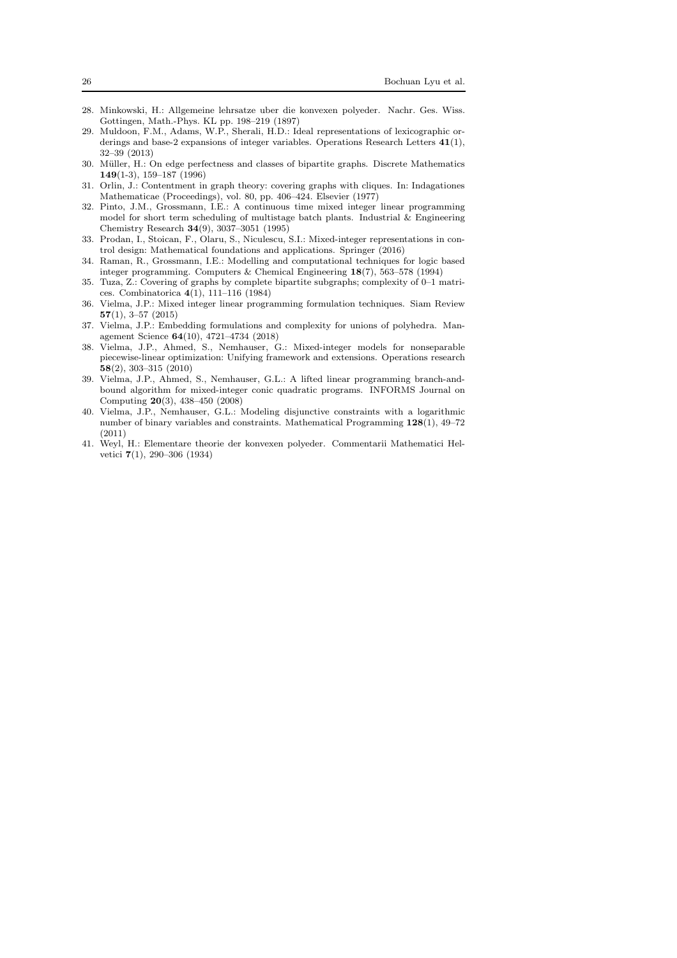- <span id="page-25-3"></span>28. Minkowski, H.: Allgemeine lehrsatze uber die konvexen polyeder. Nachr. Ges. Wiss. Gottingen, Math.-Phys. KL pp. 198–219 (1897)
- <span id="page-25-10"></span>29. Muldoon, F.M., Adams, W.P., Sherali, H.D.: Ideal representations of lexicographic orderings and base-2 expansions of integer variables. Operations Research Letters 41(1), 32–39 (2013)
- <span id="page-25-9"></span>30. M¨uller, H.: On edge perfectness and classes of bipartite graphs. Discrete Mathematics 149(1-3), 159–187 (1996)
- <span id="page-25-8"></span>31. Orlin, J.: Contentment in graph theory: covering graphs with cliques. In: Indagationes Mathematicae (Proceedings), vol. 80, pp. 406–424. Elsevier (1977)
- <span id="page-25-2"></span>32. Pinto, J.M., Grossmann, I.E.: A continuous time mixed integer linear programming model for short term scheduling of multistage batch plants. Industrial  $\&$  Engineering Chemistry Research 34(9), 3037–3051 (1995)
- <span id="page-25-13"></span>33. Prodan, I., Stoican, F., Olaru, S., Niculescu, S.I.: Mixed-integer representations in control design: Mathematical foundations and applications. Springer (2016)
- <span id="page-25-0"></span>34. Raman, R., Grossmann, I.E.: Modelling and computational techniques for logic based integer programming. Computers & Chemical Engineering 18(7), 563–578 (1994)
- <span id="page-25-12"></span>35. Tuza, Z.: Covering of graphs by complete bipartite subgraphs; complexity of 0–1 matrices. Combinatorica 4(1), 111–116 (1984)
- <span id="page-25-5"></span>36. Vielma, J.P.: Mixed integer linear programming formulation techniques. Siam Review 57(1), 3–57 (2015)
- <span id="page-25-6"></span>37. Vielma, J.P.: Embedding formulations and complexity for unions of polyhedra. Management Science 64(10), 4721–4734 (2018)
- <span id="page-25-11"></span>38. Vielma, J.P., Ahmed, S., Nemhauser, G.: Mixed-integer models for nonseparable piecewise-linear optimization: Unifying framework and extensions. Operations research 58(2), 303–315 (2010)
- <span id="page-25-1"></span>39. Vielma, J.P., Ahmed, S., Nemhauser, G.L.: A lifted linear programming branch-andbound algorithm for mixed-integer conic quadratic programs. INFORMS Journal on Computing 20(3), 438–450 (2008)
- <span id="page-25-7"></span>40. Vielma, J.P., Nemhauser, G.L.: Modeling disjunctive constraints with a logarithmic number of binary variables and constraints. Mathematical Programming 128(1), 49–72 (2011)
- <span id="page-25-4"></span>41. Weyl, H.: Elementare theorie der konvexen polyeder. Commentarii Mathematici Helvetici 7(1), 290–306 (1934)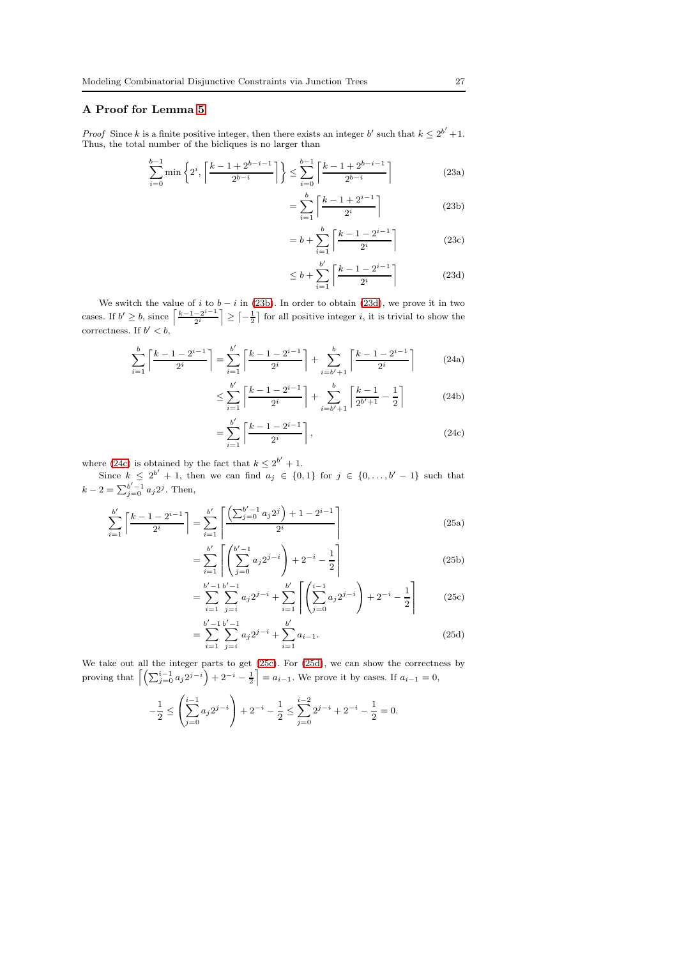## <span id="page-26-0"></span>A Proof for Lemma [5](#page-16-0)

*Proof* Since k is a finite positive integer, then there exists an integer b' such that  $k \leq 2^{b'} + 1$ . Thus, the total number of the bicliques is no larger than

$$
\sum_{i=0}^{b-1} \min\left\{2^i, \left\lceil \frac{k-1+2^{b-i-1}}{2^{b-i}} \right\rceil \right\} \le \sum_{i=0}^{b-1} \left\lceil \frac{k-1+2^{b-i-1}}{2^{b-i}} \right\rceil \tag{23a}
$$

<span id="page-26-1"></span>
$$
=\sum_{i=1}^{b} \left\lceil \frac{k-1+2^{i-1}}{2^i} \right\rceil \tag{23b}
$$

$$
= b + \sum_{i=1}^{b} \left\lceil \frac{k - 1 - 2^{i-1}}{2^i} \right\rceil \tag{23c}
$$

<span id="page-26-3"></span><span id="page-26-2"></span>
$$
\leq b + \sum_{i=1}^{b'} \left\lceil \frac{k-1-2^{i-1}}{2^i} \right\rceil \tag{23d}
$$

We switch the value of i to  $b - i$  in [\(23b\)](#page-26-1). In order to obtain [\(23d\)](#page-26-2), we prove it in two cases. If  $b' \geq b$ , since  $\left\lceil \frac{k-1-2^{i-1}}{2i} \right\rceil$  $\left\lfloor \frac{-2^{i-1}}{2^i} \right\rfloor \geq \left\lceil -\frac{1}{2} \right\rceil$  for all positive integer *i*, it is trivial to show the correctness. If  $b' < b$ ,

$$
\sum_{i=1}^{b} \left\lceil \frac{k-1-2^{i-1}}{2^i} \right\rceil = \sum_{i=1}^{b'} \left\lceil \frac{k-1-2^{i-1}}{2^i} \right\rceil + \sum_{i=b'+1}^{b} \left\lceil \frac{k-1-2^{i-1}}{2^i} \right\rceil \tag{24a}
$$

$$
\leq \sum_{i=1}^{b'} \left\lceil \frac{k-1-2^{i-1}}{2^i} \right\rceil + \sum_{i=b'+1}^{b} \left\lceil \frac{k-1}{2^{b'+1}} - \frac{1}{2} \right\rceil \tag{24b}
$$

$$
= \sum_{i=1}^{b'} \left[ \frac{k-1-2^{i-1}}{2^i} \right],
$$
\n(24c)

where [\(24c\)](#page-26-3) is obtained by the fact that  $k \leq 2^{b'} + 1$ .

Since  $k \leq 2^{b'} + 1$ , then we can find  $a_j \in \{0,1\}$  for  $j \in \{0,\ldots,b'-1\}$  such that  $k - 2 = \sum_{j=0}^{b'-1} a_j 2^j$ . Then,

$$
\sum_{i=1}^{b'} \left\lceil \frac{k-1-2^{i-1}}{2^i} \right\rceil = \sum_{i=1}^{b'} \left\lceil \frac{\left(\sum_{j=0}^{b'-1} a_j 2^j\right) + 1 - 2^{i-1}}{2^i} \right\rceil
$$
\n(25a)

$$
= \sum_{i=1}^{b'} \left[ \left( \sum_{j=0}^{b'-1} a_j 2^{j-i} \right) + 2^{-i} - \frac{1}{2} \right]
$$
 (25b)

<span id="page-26-4"></span>
$$
= \sum_{i=1}^{b'-1} \sum_{j=i}^{b'-1} a_j 2^{j-i} + \sum_{i=1}^{b'} \left[ \left( \sum_{j=0}^{i-1} a_j 2^{j-i} \right) + 2^{-i} - \frac{1}{2} \right]
$$
(25c)

<span id="page-26-5"></span>
$$
= \sum_{i=1}^{b'-1} \sum_{j=i}^{b'-1} a_j 2^{j-i} + \sum_{i=1}^{b'} a_{i-1}.
$$
 (25d)

We take out all the integer parts to get [\(25c\)](#page-26-4). For [\(25d\)](#page-26-5), we can show the correctness by proving that  $\left[\left(\sum_{j=0}^{i-1} a_j 2^{j-i}\right) + 2^{-i} - \frac{1}{2}\right] = a_{i-1}$ . We prove it by cases. If  $a_{i-1} = 0$ ,

$$
-\frac{1}{2} \le \left(\sum_{j=0}^{i-1} a_j 2^{j-i}\right) + 2^{-i} - \frac{1}{2} \le \sum_{j=0}^{i-2} 2^{j-i} + 2^{-i} - \frac{1}{2} = 0.
$$